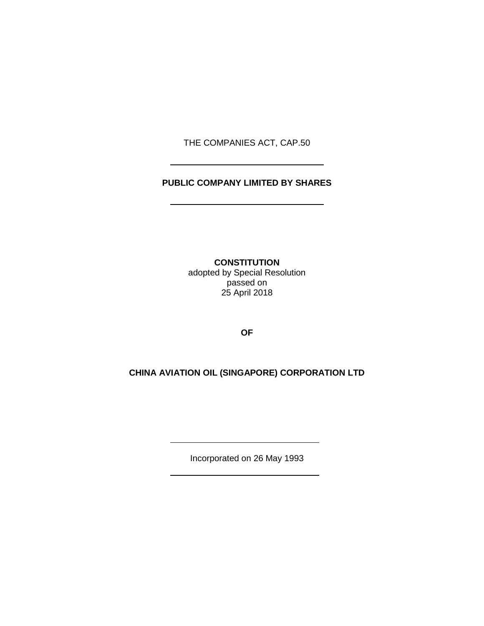THE COMPANIES ACT, CAP.50

# **PUBLIC COMPANY LIMITED BY SHARES**

**CONSTITUTION** adopted by Special Resolution passed on 25 April 2018

**OF**

# **CHINA AVIATION OIL (SINGAPORE) CORPORATION LTD**

Incorporated on 26 May 1993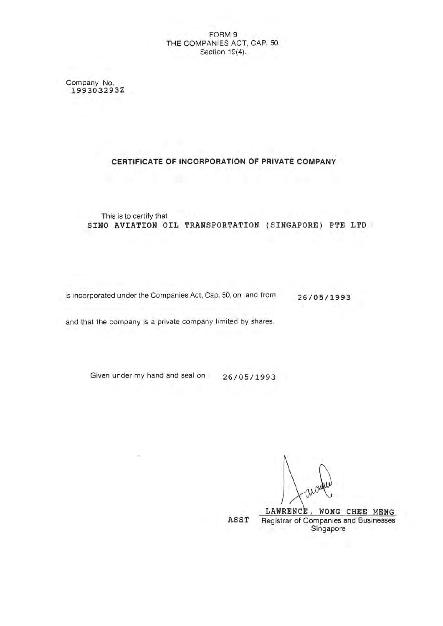# FORM 9 THE COMPANIES ACT, CAP. 50. Section 19(4).

Company No. 199303293Z

# CERTIFICATE OF INCORPORATION OF PRIVATE COMPANY

This is to certify that SINO AVIATION OIL TRANSPORTATION (SINGAPORE) PTE LTD

is incorporated under the Companies Act, Cap. 50, on and from 26/05/1993

and that the company is a private company limited by shares.

Given under my hand and seal on 26/05/1993

LAWRENCE, WONG CHEE MENG ASST Registrar of Companies and Businesses Singapore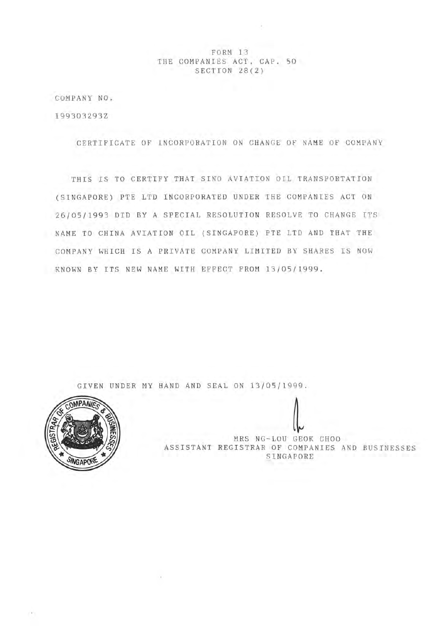FORM 13 THE COMPANIES ACT. CAP. 50 SECTION 28(2)

COMPANY NO.

199303293Z

CERTIFICATE OF INCORPORATION ON CHANGE OF NAME OF COMPANY

THIS IS TO CERTIFY THAT SINO AVIATION OIL TRANSPORTATION (SINGAPORE) PTE LTD INCORPORATED UNDER THE COMPANIES ACT ON 26/05/1993 DID BY A SPECIAL RESOLUTION RESOLVE TO CHANGE ITS NAME TO CHINA AVIATION OIL (SINGAPORE) PTE LTD AND THAT THE COMPANY WHICH IS A PRIVATE COMPANY LIMITED BY SHARES IS NOW KNOWN BY ITS NEW NAME WITH EFFECT FROM 13/05/1999.

GIVEN UNDER MY HAND AND SEAL ON 13/05/1999.

 $\sim$  10



MRS NG-LOU GEOK CHOO ASSISTANT REGISTRAR OF COMPANIES AND BUSINESSES SINGAPORE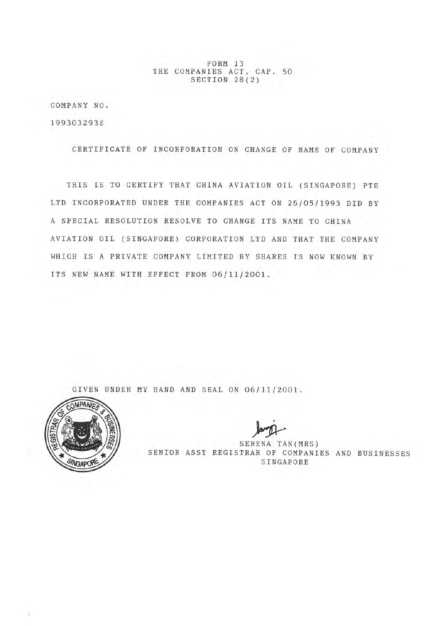FORM 13 THE COMPANIES ACT, CAP. 50 SECTION 28(2)

COMPANY NO. 199303293Z

CERTIFICATE OF INCORPORATION ON CHANGE OF NAME OF COMPANY

THIS IS TO CERTIFY THAT CHINA AVIATION OIL (SINGAPORE) PTE LTD INCORPORATED UNDER THE COMPANIES ACT ON 26/05/1993 DID BY A SPECIAL RESOLUTION RESOLVE TO CHANGE ITS NAME TO CHINA AVIATION OIL (SINGAPORE) CORPORATION LTD AND THAT THE COMPANY WHICH IS A PRIVATE COMPANY LIMITED BY SHARES IS NOW KNOWN BY ITS NEW NAME WITH EFFECT FROM 06/11/2001.

GIVEN UNDER MY HAND AND SEAL ON 06/11/2001.



SERENA TAN(MRS) SENIOR ASST REGISTRAR OF COMPANIES AND BUSINESSES SINGAPORE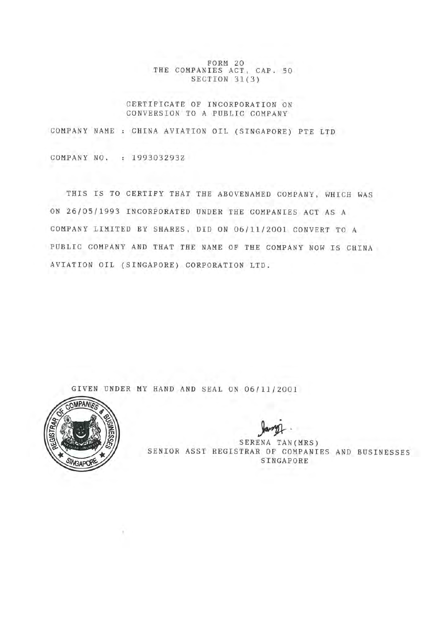FORM 20 THE COMPANIES ACT, CAP. 50 SECTION 31(3)

# CERTIFICATE OF INCORPORATION ON CONVERSION TO A PUBLIC COMPANY

COMPANY NAME : CHINA AVIATION OIL (SINGAPORE) PTE LTD COMPANY NO. : 199303293Z

THIS IS TO CERTIFY THAT THE ABOVENAMED COMPANY, WHICH WAS ON 26/05/1993 INCORPORATED UNDER THE COMPANIES ACT AS A COMPANY LIMITED BY SHARES, DID ON 06/11/2001 CONVERT TO A PUBLIC COMPANY AND THAT THE NAME OF THE COMPANY NOW IS CHINA AVIATION OIL (SINGAPORE) CORPORATION LTD.

GIVEN UNDER MY HAND AND SEAL ON 06/11/2001



SERENA TAN(MRS) SENIOR ASST REGISTRAR OF COMPANIES AND BUSINESSES SINGAPORE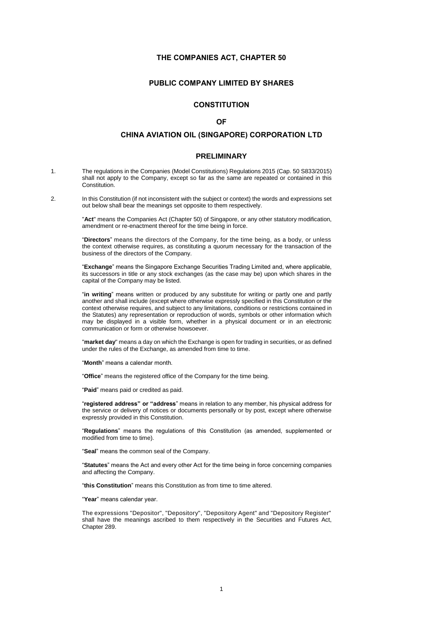# **THE COMPANIES ACT, CHAPTER 50**

# **PUBLIC COMPANY LIMITED BY SHARES**

# **CONSTITUTION**

# **OF**

# **CHINA AVIATION OIL (SINGAPORE) CORPORATION LTD**

# **PRELIMINARY**

- 1. The regulations in the Companies (Model Constitutions) Regulations 2015 (Cap. 50 S833/2015) shall not apply to the Company, except so far as the same are repeated or contained in this Constitution.
- 2. In this Constitution (if not inconsistent with the subject or context) the words and expressions set out below shall bear the meanings set opposite to them respectively.

"**Act**" means the Companies Act (Chapter 50) of Singapore, or any other statutory modification, amendment or re-enactment thereof for the time being in force.

"**Directors**" means the directors of the Company, for the time being, as a body, or unless the context otherwise requires, as constituting a quorum necessary for the transaction of the business of the directors of the Company.

"**Exchange**" means the Singapore Exchange Securities Trading Limited and, where applicable, its successors in title or any stock exchanges (as the case may be) upon which shares in the capital of the Company may be listed.

"**in writing**" means written or produced by any substitute for writing or partly one and partly another and shall include (except where otherwise expressly specified in this Constitution or the context otherwise requires, and subject to any limitations, conditions or restrictions contained in the Statutes) any representation or reproduction of words, symbols or other information which may be displayed in a visible form, whether in a physical document or in an electronic communication or form or otherwise howsoever.

"**market day**" means a day on which the Exchange is open for trading in securities, or as defined under the rules of the Exchange, as amended from time to time.

"**Month**" means a calendar month.

"**Office**" means the registered office of the Company for the time being.

"**Paid**" means paid or credited as paid.

"**registered address" or "address**" means in relation to any member, his physical address for the service or delivery of notices or documents personally or by post, except where otherwise expressly provided in this Constitution.

"**Regulations**" means the regulations of this Constitution (as amended, supplemented or modified from time to time).

"**Seal**" means the common seal of the Company.

"**Statutes**" means the Act and every other Act for the time being in force concerning companies and affecting the Company.

"**this Constitution**" means this Constitution as from time to time altered.

"**Year**" means calendar year.

The expressions "Depositor", "Depository", "Depository Agent" and "Depository Register" shall have the meanings ascribed to them respectively in the Securities and Futures Act, Chapter 289.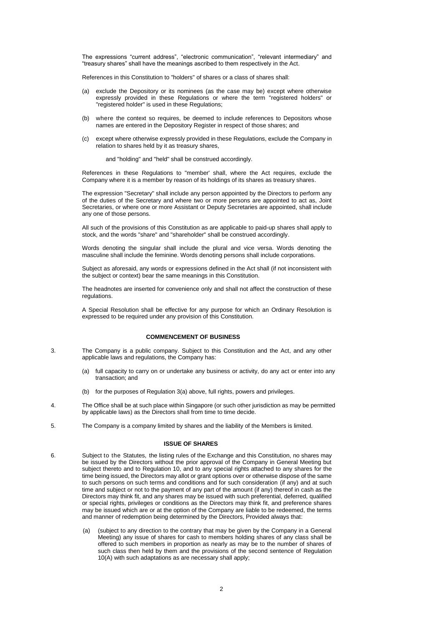The expressions "current address", "electronic communication", "relevant intermediary" and "treasury shares" shall have the meanings ascribed to them respectively in the Act.

References in this Constitution to "holders" of shares or a class of shares shall:

- (a) exclude the Depository or its nominees (as the case may be) except where otherwise expressly provided in these Regulations or where the term "registered holders" or "registered holder" is used in these Regulations;
- (b) where the context so requires, be deemed to include references to Depositors whose names are entered in the Depository Register in respect of those shares; and
- (c) except where otherwise expressly provided in these Regulations, exclude the Company in relation to shares held by it as treasury shares,

and "holding" and "held" shall be construed accordingly.

References in these Regulations to "member' shall, where the Act requires, exclude the Company where it is a member by reason of its holdings of its shares as treasury shares.

The expression "Secretary" shall include any person appointed by the Directors to perform any of the duties of the Secretary and where two or more persons are appointed to act as, Joint Secretaries, or where one or more Assistant or Deputy Secretaries are appointed, shall include any one of those persons.

All such of the provisions of this Constitution as are applicable to paid-up shares shall apply to stock, and the words "share" and "shareholder" shall be construed accordingly.

Words denoting the singular shall include the plural and vice versa. Words denoting the masculine shall include the feminine. Words denoting persons shall include corporations.

Subject as aforesaid, any words or expressions defined in the Act shall (if not inconsistent with the subject or context) bear the same meanings in this Constitution.

The headnotes are inserted for convenience only and shall not affect the construction of these regulations.

A Special Resolution shall be effective for any purpose for which an Ordinary Resolution is expressed to be required under any provision of this Constitution.

### **COMMENCEMENT OF BUSINESS**

- 3. The Company is a public company. Subject to this Constitution and the Act, and any other applicable laws and regulations, the Company has:
	- (a) full capacity to carry on or undertake any business or activity, do any act or enter into any transaction; and
	- (b) for the purposes of Regulation 3(a) above, full rights, powers and privileges.
- 4. The Office shall be at such place within Singapore (or such other jurisdiction as may be permitted by applicable laws) as the Directors shall from time to time decide.
- 5. The Company is a company limited by shares and the liability of the Members is limited.

#### **ISSUE OF SHARES**

- 6. Subject to the Statutes, the listing rules of the Exchange and this Constitution, no shares may be issued by the Directors without the prior approval of the Company in General Meeting but subject thereto and to Regulation 10, and to any special rights attached to any shares for the time being issued, the Directors may allot or grant options over or otherwise dispose of the same to such persons on such terms and conditions and for such consideration (if any) and at such time and subject or not to the payment of any part of the amount (if any) thereof in cash as the Directors may think fit, and any shares may be issued with such preferential, deferred, qualified or special rights, privileges or conditions as the Directors may think fit, and preference shares may be issued which are or at the option of the Company are liable to be redeemed, the terms and manner of redemption being determined by the Directors, Provided always that:
	- (a) (subject to any direction to the contrary that may be given by the Company in a General Meeting) any issue of shares for cash to members holding shares of any class shall be offered to such members in proportion as nearly as may be to the number of shares of such class then held by them and the provisions of the second sentence of Regulation 10(A) with such adaptations as are necessary shall apply;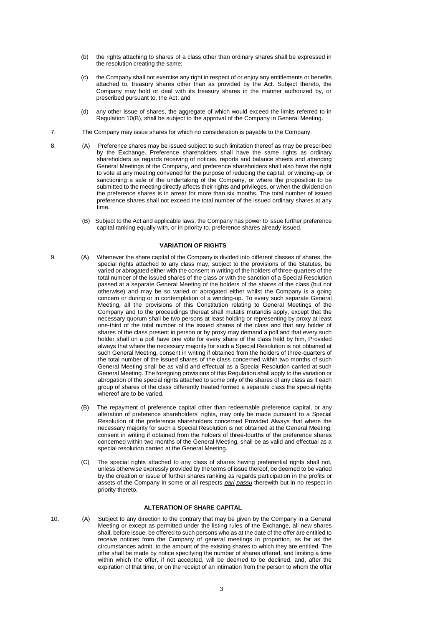- (b) the rights attaching to shares of a class other than ordinary shares shall be expressed in the resolution creating the same;
- (c) the Company shall not exercise any right in respect of or enjoy any entitlements or benefits attached to, treasury shares other than as provided by the Act. Subject thereto, the Company may hold or deal with its treasury shares in the manner authorized by, or prescribed pursuant to, the Act; and
- (d) any other issue of shares, the aggregate of which would exceed the limits referred to in Regulation 10(B), shall be subject to the approval of the Company in General Meeting.
- 7. The Company may issue shares for which no consideration is payable to the Company.
- 8. (A) Preference shares may be issued subject to such limitation thereof as may be prescribed by the Exchange. Preference shareholders shall have the same rights as ordinary shareholders as regards receiving of notices, reports and balance sheets and attending General Meetings of the Company, and preference shareholders shall also have the right to vote at any meeting convened for the purpose of reducing the capital, or winding-up, or sanctioning a sale of the undertaking of the Company, or where the proposition to be submitted to the meeting directly affects their rights and privileges, or when the dividend on the preference shares is in arrear for more than six months. The total number of issued preference shares shall not exceed the total number of the issued ordinary shares at any time.
	- (B) Subject to the Act and applicable laws, the Company has power to issue further preference capital ranking equally with, or in priority to, preference shares already issued.

## **VARIATION OF RIGHTS**

- 9. (A) Whenever the share capital of the Company is divided into different classes of shares, the special rights attached to any class may, subject to the provisions of the Statutes, be varied or abrogated either with the consent in writing of the holders of three-quarters of the total number of the issued shares of the class or with the sanction of a Special Resolution passed at a separate General Meeting of the holders of the shares of the class (but not otherwise) and may be so varied or abrogated either whilst the Company is a going concern or during or in contemplation of a winding-up. To every such separate General Meeting, all the provisions of this Constitution relating to General Meetings of the Company and to the proceedings thereat shall mutatis mutandis apply, except that the necessary quorum shall be two persons at least holding or representing by proxy at least one-third of the total number of the issued shares of the class and that any holder of shares of the class present in person or by proxy may demand a poll and that every such holder shall on a poll have one vote for every share of the class held by him, Provided always that where the necessary majority for such a Special Resolution is not obtained at such General Meeting, consent in writing if obtained from the holders of three-quarters of the total number of the issued shares of the class concerned within two months of such General Meeting shall be as valid and effectual as a Special Resolution carried at such General Meeting. The foregoing provisions of this Regulation shall apply to the variation or abrogation of the special rights attached to some only of the shares of any class as if each group of shares of the class differently treated formed a separate class the special rights whereof are to be varied.
	- (B) The repayment of preference capital other than redeemable preference capital, or any alteration of preference shareholders' rights, may only be made pursuant to a Special Resolution of the preference shareholders concerned Provided Always that where the necessary majority for such a Special Resolution is not obtained at the General Meeting, consent in writing if obtained from the holders of three-fourths of the preference shares concerned within two months of the General Meeting, shall be as valid and effectual as a special resolution carried at the General Meeting.
	- (C) The special rights attached to any class of shares having preferential rights shall not, unless otherwise expressly provided by the terms of issue thereof, be deemed to be varied by the creation or issue of further shares ranking as regards participation in the profits or assets of the Company in some or all respects *pari passu* therewith but in no respect in priority thereto.

# **ALTERATION OF SHARE CAPITAL**

10. (A) Subject to any direction to the contrary that may be given by the Company in a General Meeting or except as permitted under the listing rules of the Exchange, all new shares shall, before issue, be offered to such persons who as at the date of the offer are entitled to receive notices from the Company of general meetings in proportion, as far as the circumstances admit, to the amount of the existing shares to which they are entitled. The offer shall be made by notice specifying the number of shares offered, and limiting a time within which the offer, if not accepted, will be deemed to be declined, and, after the expiration of that time, or on the receipt of an intimation from the person to whom the offer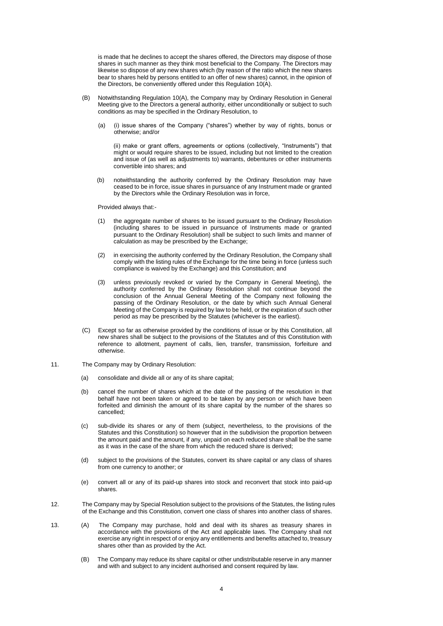is made that he declines to accept the shares offered, the Directors may dispose of those shares in such manner as they think most beneficial to the Company. The Directors may likewise so dispose of any new shares which (by reason of the ratio which the new shares bear to shares held by persons entitled to an offer of new shares) cannot, in the opinion of the Directors, be conveniently offered under this Regulation 10(A).

- (B) Notwithstanding Regulation 10(A), the Company may by Ordinary Resolution in General Meeting give to the Directors a general authority, either unconditionally or subject to such conditions as may be specified in the Ordinary Resolution, to
	- (a) (i) issue shares of the Company ("shares") whether by way of rights, bonus or otherwise; and/or

(ii) make or grant offers, agreements or options (collectively, "Instruments") that might or would require shares to be issued, including but not limited to the creation and issue of (as well as adjustments to) warrants, debentures or other instruments convertible into shares; and

(b) notwithstanding the authority conferred by the Ordinary Resolution may have ceased to be in force, issue shares in pursuance of any Instrument made or granted by the Directors while the Ordinary Resolution was in force,

Provided always that:-

- the aggregate number of shares to be issued pursuant to the Ordinary Resolution (including shares to be issued in pursuance of Instruments made or granted pursuant to the Ordinary Resolution) shall be subject to such limits and manner of calculation as may be prescribed by the Exchange;
- (2) in exercising the authority conferred by the Ordinary Resolution, the Company shall comply with the listing rules of the Exchange for the time being in force (unless such compliance is waived by the Exchange) and this Constitution; and
- (3) unless previously revoked or varied by the Company in General Meeting), the authority conferred by the Ordinary Resolution shall not continue beyond the conclusion of the Annual General Meeting of the Company next following the passing of the Ordinary Resolution, or the date by which such Annual General Meeting of the Company is required by law to be held, or the expiration of such other period as may be prescribed by the Statutes (whichever is the earliest).
- (C) Except so far as otherwise provided by the conditions of issue or by this Constitution, all new shares shall be subject to the provisions of the Statutes and of this Constitution with reference to allotment, payment of calls, lien, transfer, transmission, forfeiture and otherwise.
- 11. The Company may by Ordinary Resolution:
	- (a) consolidate and divide all or any of its share capital;
	- (b) cancel the number of shares which at the date of the passing of the resolution in that behalf have not been taken or agreed to be taken by any person or which have been forfeited and diminish the amount of its share capital by the number of the shares so cancelled;
	- (c) sub-divide its shares or any of them (subject, nevertheless, to the provisions of the Statutes and this Constitution) so however that in the subdivision the proportion between the amount paid and the amount, if any, unpaid on each reduced share shall be the same as it was in the case of the share from which the reduced share is derived;
	- (d) subject to the provisions of the Statutes, convert its share capital or any class of shares from one currency to another; or
	- (e) convert all or any of its paid-up shares into stock and reconvert that stock into paid-up shares.
- 12. The Company may by Special Resolution subject to the provisions of the Statutes, the listing rules of the Exchange and this Constitution, convert one class of shares into another class of shares.

13. (A) The Company may purchase, hold and deal with its shares as treasury shares in accordance with the provisions of the Act and applicable laws. The Company shall not exercise any right in respect of or enjoy any entitlements and benefits attached to, treasury shares other than as provided by the Act.

> (B) The Company may reduce its share capital or other undistributable reserve in any manner and with and subject to any incident authorised and consent required by law.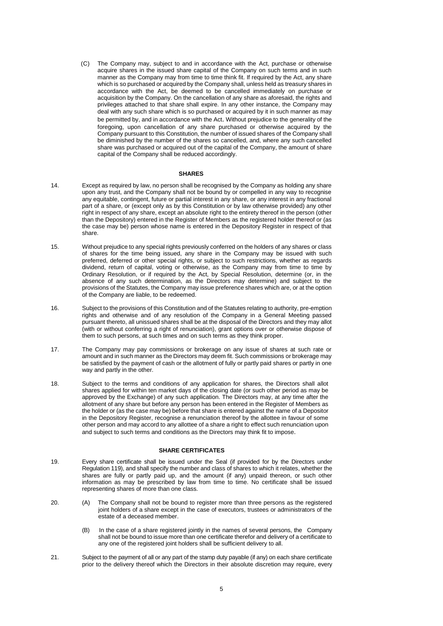(C) The Company may, subject to and in accordance with the Act, purchase or otherwise acquire shares in the issued share capital of the Company on such terms and in such manner as the Company may from time to time think fit. If required by the Act, any share which is so purchased or acquired by the Company shall, unless held as treasury shares in accordance with the Act, be deemed to be cancelled immediately on purchase or acquisition by the Company. On the cancellation of any share as aforesaid, the rights and privileges attached to that share shall expire. In any other instance, the Company may deal with any such share which is so purchased or acquired by it in such manner as may be permitted by, and in accordance with the Act. Without prejudice to the generality of the foregoing, upon cancellation of any share purchased or otherwise acquired by the Company pursuant to this Constitution, the number of issued shares of the Company shall be diminished by the number of the shares so cancelled, and, where any such cancelled share was purchased or acquired out of the capital of the Company, the amount of share capital of the Company shall be reduced accordingly.

### **SHARES**

- 14. Except as required by law, no person shall be recognised by the Company as holding any share upon any trust, and the Company shall not be bound by or compelled in any way to recognise any equitable, contingent, future or partial interest in any share, or any interest in any fractional part of a share, or (except only as by this Constitution or by law otherwise provided) any other right in respect of any share, except an absolute right to the entirety thereof in the person (other than the Depository) entered in the Register of Members as the registered holder thereof or (as the case may be) person whose name is entered in the Depository Register in respect of that share.
- 15. Without prejudice to any special rights previously conferred on the holders of any shares or class of shares for the time being issued, any share in the Company may be issued with such preferred, deferred or other special rights, or subject to such restrictions, whether as regards dividend, return of capital, voting or otherwise, as the Company may from time to time by Ordinary Resolution, or if required by the Act, by Special Resolution, determine (or, in the absence of any such determination, as the Directors may determine) and subject to the provisions of the Statutes, the Company may issue preference shares which are, or at the option of the Company are liable, to be redeemed.
- 16. Subject to the provisions of this Constitution and of the Statutes relating to authority, pre-emption rights and otherwise and of any resolution of the Company in a General Meeting passed pursuant thereto, all unissued shares shall be at the disposal of the Directors and they may allot (with or without conferring a right of renunciation), grant options over or otherwise dispose of them to such persons, at such times and on such terms as they think proper.
- 17. The Company may pay commissions or brokerage on any issue of shares at such rate or amount and in such manner as the Directors may deem fit. Such commissions or brokerage may be satisfied by the payment of cash or the allotment of fully or partly paid shares or partly in one way and partly in the other.
- 18. Subject to the terms and conditions of any application for shares, the Directors shall allot shares applied for within ten market days of the closing date (or such other period as may be approved by the Exchange) of any such application. The Directors may, at any time after the allotment of any share but before any person has been entered in the Register of Members as the holder or (as the case may be) before that share is entered against the name of a Depositor in the Depository Register, recognise a renunciation thereof by the allottee in favour of some other person and may accord to any allottee of a share a right to effect such renunciation upon and subject to such terms and conditions as the Directors may think fit to impose.

# **SHARE CERTIFICATES**

- 19. Every share certificate shall be issued under the Seal (if provided for by the Directors under Regulation 119), and shall specify the number and class of shares to which it relates, whether the shares are fully or partly paid up, and the amount (if any) unpaid thereon, or such other information as may be prescribed by law from time to time. No certificate shall be issued representing shares of more than one class.
- 20. (A) The Company shall not be bound to register more than three persons as the registered joint holders of a share except in the case of executors, trustees or administrators of the estate of a deceased member.
	- (B) In the case of a share registered jointly in the names of several persons, the Company shall not be bound to issue more than one certificate therefor and delivery of a certificate to any one of the registered joint holders shall be sufficient delivery to all.
- 21. Subject to the payment of all or any part of the stamp duty payable (if any) on each share certificate prior to the delivery thereof which the Directors in their absolute discretion may require, every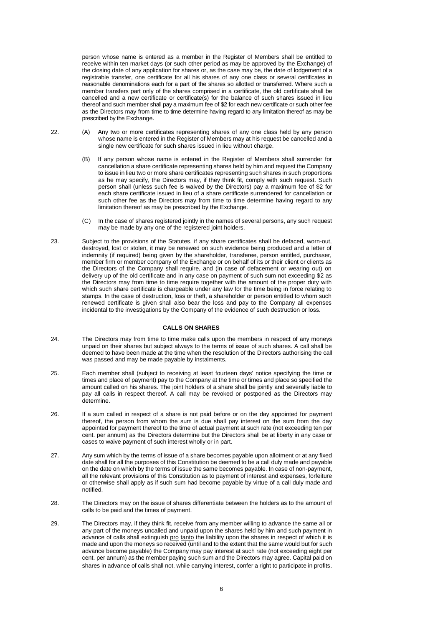person whose name is entered as a member in the Register of Members shall be entitled to receive within ten market days (or such other period as may be approved by the Exchange) of the closing date of any application for shares or, as the case may be, the date of lodgement of a registrable transfer, one certificate for all his shares of any one class or several certificates in reasonable denominations each for a part of the shares so allotted or transferred. Where such a member transfers part only of the shares comprised in a certificate, the old certificate shall be cancelled and a new certificate or certificate(s) for the balance of such shares issued in lieu thereof and such member shall pay a maximum fee of \$2 for each new certificate or such other fee as the Directors may from time to time determine having regard to any limitation thereof as may be prescribed by the Exchange.

- 22. (A) Any two or more certificates representing shares of any one class held by any person whose name is entered in the Register of Members may at his request be cancelled and a single new certificate for such shares issued in lieu without charge.
	- (B) If any person whose name is entered in the Register of Members shall surrender for cancellation a share certificate representing shares held by him and request the Company to issue in lieu two or more share certificates representing such shares in such proportions as he may specify, the Directors may, if they think fit, comply with such request. Such person shall (unless such fee is waived by the Directors) pay a maximum fee of \$2 for each share certificate issued in lieu of a share certificate surrendered for cancellation or such other fee as the Directors may from time to time determine having regard to any limitation thereof as may be prescribed by the Exchange.
	- (C) In the case of shares registered jointly in the names of several persons, any such request may be made by any one of the registered joint holders.
- 23. Subject to the provisions of the Statutes, if any share certificates shall be defaced, worn-out, destroyed, lost or stolen, it may be renewed on such evidence being produced and a letter of indemnity (if required) being given by the shareholder, transferee, person entitled, purchaser, member firm or member company of the Exchange or on behalf of its or their client or clients as the Directors of the Company shall require, and (in case of defacement or wearing out) on delivery up of the old certificate and in any case on payment of such sum not exceeding \$2 as the Directors may from time to time require together with the amount of the proper duty with which such share certificate is chargeable under any law for the time being in force relating to stamps. In the case of destruction, loss or theft, a shareholder or person entitled to whom such renewed certificate is given shall also bear the loss and pay to the Company all expenses incidental to the investigations by the Company of the evidence of such destruction or loss.

### **CALLS ON SHARES**

- 24. The Directors may from time to time make calls upon the members in respect of any moneys unpaid on their shares but subject always to the terms of issue of such shares. A call shall be deemed to have been made at the time when the resolution of the Directors authorising the call was passed and may be made payable by instalments.
- 25. Each member shall (subject to receiving at least fourteen days' notice specifying the time or times and place of payment) pay to the Company at the time or times and place so specified the amount called on his shares. The joint holders of a share shall be jointly and severally liable to pay all calls in respect thereof. A call may be revoked or postponed as the Directors may determine.
- 26. If a sum called in respect of a share is not paid before or on the day appointed for payment thereof, the person from whom the sum is due shall pay interest on the sum from the day appointed for payment thereof to the time of actual payment at such rate (not exceeding ten per cent. per annum) as the Directors determine but the Directors shall be at liberty in any case or cases to waive payment of such interest wholly or in part.
- 27. Any sum which by the terms of issue of a share becomes payable upon allotment or at any fixed date shall for all the purposes of this Constitution be deemed to be a call duly made and payable on the date on which by the terms of issue the same becomes payable. In case of non-payment, all the relevant provisions of this Constitution as to payment of interest and expenses, forfeiture or otherwise shall apply as if such sum had become payable by virtue of a call duly made and notified.
- 28. The Directors may on the issue of shares differentiate between the holders as to the amount of calls to be paid and the times of payment.
- 29. The Directors may, if they think fit, receive from any member willing to advance the same all or any part of the moneys uncalled and unpaid upon the shares held by him and such payment in advance of calls shall extinguish pro tanto the liability upon the shares in respect of which it is made and upon the moneys so received (until and to the extent that the same would but for such advance become payable) the Company may pay interest at such rate (not exceeding eight per cent. per annum) as the member paying such sum and the Directors may agree. Capital paid on shares in advance of calls shall not, while carrying interest, confer a right to participate in profits.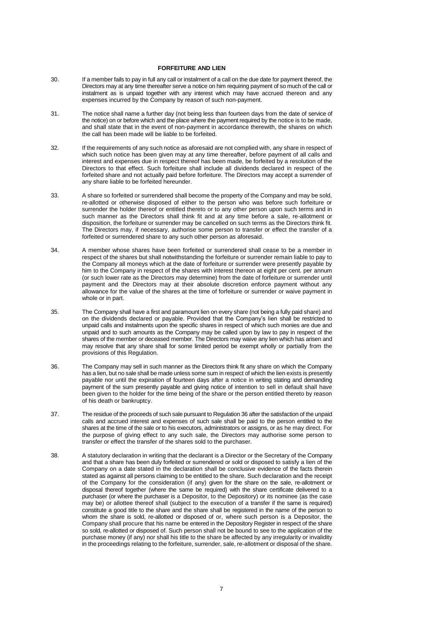#### **FORFEITURE AND LIEN**

- 30. If a member fails to pay in full any call or instalment of a call on the due date for payment thereof, the Directors may at any time thereafter serve a notice on him requiring payment of so much of the call or instalment as is unpaid together with any interest which may have accrued thereon and any expenses incurred by the Company by reason of such non-payment.
- 31. The notice shall name a further day (not being less than fourteen days from the date of service of the notice) on or before which and the place where the payment required by the notice is to be made, and shall state that in the event of non-payment in accordance therewith, the shares on which the call has been made will be liable to be forfeited.
- 32. If the requirements of any such notice as aforesaid are not complied with, any share in respect of which such notice has been given may at any time thereafter, before payment of all calls and interest and expenses due in respect thereof has been made, be forfeited by a resolution of the Directors to that effect. Such forfeiture shall include all dividends declared in respect of the forfeited share and not actually paid before forfeiture. The Directors may accept a surrender of any share liable to be forfeited hereunder.
- 33. A share so forfeited or surrendered shall become the property of the Company and may be sold, re-allotted or otherwise disposed of either to the person who was before such forfeiture or surrender the holder thereof or entitled thereto or to any other person upon such terms and in such manner as the Directors shall think fit and at any time before a sale, re-allotment or disposition, the forfeiture or surrender may be cancelled on such terms as the Directors think fit. The Directors may, if necessary, authorise some person to transfer or effect the transfer of a forfeited or surrendered share to any such other person as aforesaid.
- 34. A member whose shares have been forfeited or surrendered shall cease to be a member in respect of the shares but shall notwithstanding the forfeiture or surrender remain liable to pay to the Company all moneys which at the date of forfeiture or surrender were presently payable by him to the Company in respect of the shares with interest thereon at eight per cent. per annum (or such lower rate as the Directors may determine) from the date of forfeiture or surrender until payment and the Directors may at their absolute discretion enforce payment without any allowance for the value of the shares at the time of forfeiture or surrender or waive payment in whole or in part.
- 35. The Company shall have a first and paramount lien on every share (not being a fully paid share) and on the dividends declared or payable. Provided that the Company's lien shall be restricted to unpaid calls and instalments upon the specific shares in respect of which such monies are due and unpaid and to such amounts as the Company may be called upon by law to pay in respect of the shares of the member or deceased member. The Directors may waive any lien which has arisen and may resolve that any share shall for some limited period be exempt wholly or partially from the provisions of this Regulation.
- 36. The Company may sell in such manner as the Directors think fit any share on which the Company has a lien, but no sale shall be made unless some sum in respect of which the lien exists is presently payable nor until the expiration of fourteen days after a notice in writing stating and demanding payment of the sum presently payable and giving notice of intention to sell in default shall have been given to the holder for the time being of the share or the person entitled thereto by reason of his death or bankruptcy.
- 37. The residue of the proceeds of such sale pursuant to Regulation 36 after the satisfaction of the unpaid calls and accrued interest and expenses of such sale shall be paid to the person entitled to the shares at the time of the sale or to his executors, administrators or assigns, or as he may direct. For the purpose of giving effect to any such sale, the Directors may authorise some person to transfer or effect the transfer of the shares sold to the purchaser.
- 38. A statutory declaration in writing that the declarant is a Director or the Secretary of the Company and that a share has been duly forfeited or surrendered or sold or disposed to satisfy a lien of the Company on a date stated in the declaration shall be conclusive evidence of the facts therein stated as against all persons claiming to be entitled to the share. Such declaration and the receipt of the Company for the consideration (if any) given for the share on the sale, re-allotment or disposal thereof together (where the same be required) with the share certificate delivered to a purchaser (or where the purchaser is a Depositor, to the Depository) or its nominee (as the case may be) or allottee thereof shall (subject to the execution of a transfer if the same is required) constitute a good title to the share and the share shall be registered in the name of the person to whom the share is sold, re-allotted or disposed of or, where such person is a Depositor, the Company shall procure that his name be entered in the Depository Register in respect of the share so sold, re-allotted or disposed of. Such person shall not be bound to see to the application of the purchase money (if any) nor shall his title to the share be affected by any irregularity or invalidity in the proceedings relating to the forfeiture, surrender, sale, re-allotment or disposal of the share.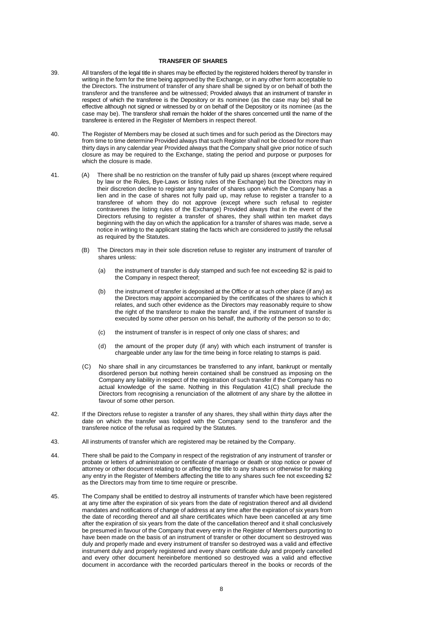## **TRANSFER OF SHARES**

- 39. All transfers of the legal title in shares may be effected by the registered holders thereof by transfer in writing in the form for the time being approved by the Exchange, or in any other form acceptable to the Directors. The instrument of transfer of any share shall be signed by or on behalf of both the transferor and the transferee and be witnessed; Provided always that an instrument of transfer in respect of which the transferee is the Depository or its nominee (as the case may be) shall be effective although not signed or witnessed by or on behalf of the Depository or its nominee (as the case may be). The transferor shall remain the holder of the shares concerned until the name of the transferee is entered in the Register of Members in respect thereof.
- 40. The Register of Members may be closed at such times and for such period as the Directors may from time to time determine Provided always that such Register shall not be closed for more than thirty days in any calendar year Provided always that the Company shall give prior notice of such closure as may be required to the Exchange, stating the period and purpose or purposes for which the closure is made.
- 41. (A) There shall be no restriction on the transfer of fully paid up shares (except where required by law or the Rules, Bye-Laws or listing rules of the Exchange) but the Directors may in their discretion decline to register any transfer of shares upon which the Company has a lien and in the case of shares not fully paid up, may refuse to register a transfer to a transferee of whom they do not approve (except where such refusal to register contravenes the listing rules of the Exchange) Provided always that in the event of the Directors refusing to register a transfer of shares, they shall within ten market days beginning with the day on which the application for a transfer of shares was made, serve a notice in writing to the applicant stating the facts which are considered to justify the refusal as required by the Statutes.
	- (B) The Directors may in their sole discretion refuse to register any instrument of transfer of shares unless:
		- (a) the instrument of transfer is duly stamped and such fee not exceeding \$2 is paid to the Company in respect thereof;
		- (b) the instrument of transfer is deposited at the Office or at such other place (if any) as the Directors may appoint accompanied by the certificates of the shares to which it relates, and such other evidence as the Directors may reasonably require to show the right of the transferor to make the transfer and, if the instrument of transfer is executed by some other person on his behalf, the authority of the person so to do;
		- (c) the instrument of transfer is in respect of only one class of shares; and
		- (d) the amount of the proper duty (if any) with which each instrument of transfer is chargeable under any law for the time being in force relating to stamps is paid.
	- (C) No share shall in any circumstances be transferred to any infant, bankrupt or mentally disordered person but nothing herein contained shall be construed as imposing on the Company any liability in respect of the registration of such transfer if the Company has no actual knowledge of the same. Nothing in this Regulation 41(C) shall preclude the Directors from recognising a renunciation of the allotment of any share by the allottee in favour of some other person.
- 42. If the Directors refuse to register a transfer of any shares, they shall within thirty days after the date on which the transfer was lodged with the Company send to the transferor and the transferee notice of the refusal as required by the Statutes.
- 43. All instruments of transfer which are registered may be retained by the Company.
- 44. There shall be paid to the Company in respect of the registration of any instrument of transfer or probate or letters of administration or certificate of marriage or death or stop notice or power of attorney or other document relating to or affecting the title to any shares or otherwise for making any entry in the Register of Members affecting the title to any shares such fee not exceeding \$2 as the Directors may from time to time require or prescribe.
- 45. The Company shall be entitled to destroy all instruments of transfer which have been registered at any time after the expiration of six years from the date of registration thereof and all dividend mandates and notifications of change of address at any time after the expiration of six years from the date of recording thereof and all share certificates which have been cancelled at any time after the expiration of six years from the date of the cancellation thereof and it shall conclusively be presumed in favour of the Company that every entry in the Register of Members purporting to have been made on the basis of an instrument of transfer or other document so destroyed was duly and properly made and every instrument of transfer so destroyed was a valid and effective instrument duly and properly registered and every share certificate duly and properly cancelled and every other document hereinbefore mentioned so destroyed was a valid and effective document in accordance with the recorded particulars thereof in the books or records of the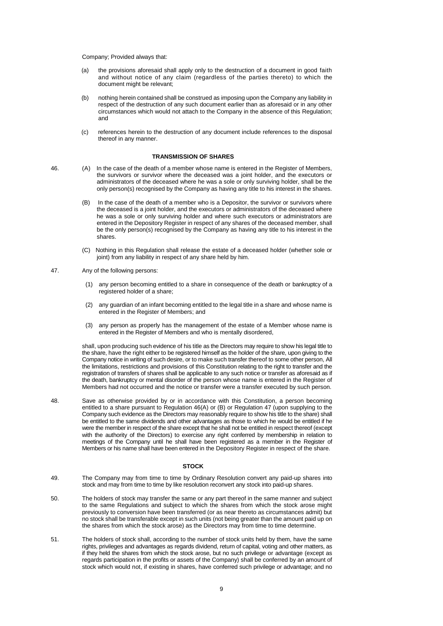Company; Provided always that:

- (a) the provisions aforesaid shall apply only to the destruction of a document in good faith and without notice of any claim (regardless of the parties thereto) to which the document might be relevant;
- (b) nothing herein contained shall be construed as imposing upon the Company any liability in respect of the destruction of any such document earlier than as aforesaid or in any other circumstances which would not attach to the Company in the absence of this Regulation; and
- (c) references herein to the destruction of any document include references to the disposal thereof in any manner.

### **TRANSMISSION OF SHARES**

- 46. (A) In the case of the death of a member whose name is entered in the Register of Members, the survivors or survivor where the deceased was a joint holder, and the executors or administrators of the deceased where he was a sole or only surviving holder, shall be the only person(s) recognised by the Company as having any title to his interest in the shares.
	- (B) In the case of the death of a member who is a Depositor, the survivor or survivors where the deceased is a joint holder, and the executors or administrators of the deceased where he was a sole or only surviving holder and where such executors or administrators are entered in the Depository Register in respect of any shares of the deceased member, shall be the only person(s) recognised by the Company as having any title to his interest in the shares.
	- (C) Nothing in this Regulation shall release the estate of a deceased holder (whether sole or joint) from any liability in respect of any share held by him.
- 47. Any of the following persons:
	- (1) any person becoming entitled to a share in consequence of the death or bankruptcy of a registered holder of a share;
	- (2) any guardian of an infant becoming entitled to the legal title in a share and whose name is entered in the Register of Members; and
	- (3) any person as properly has the management of the estate of a Member whose name is entered in the Register of Members and who is mentally disordered,

shall, upon producing such evidence of his title as the Directors may require to show his legal title to the share, have the right either to be registered himself as the holder of the share, upon giving to the Company notice in writing of such desire, or to make such transfer thereof to some other person, All the limitations, restrictions and provisions of this Constitution relating to the right to transfer and the registration of transfers of shares shall be applicable to any such notice or transfer as aforesaid as if the death, bankruptcy or mental disorder of the person whose name is entered in the Register of Members had not occurred and the notice or transfer were a transfer executed by such person.

48. Save as otherwise provided by or in accordance with this Constitution, a person becoming entitled to a share pursuant to Regulation 46(A) or (B) or Regulation 47 (upon supplying to the Company such evidence as the Directors may reasonably require to show his title to the share) shall be entitled to the same dividends and other advantages as those to which he would be entitled if he were the member in respect of the share except that he shall not be entitled in respect thereof (except with the authority of the Directors) to exercise any right conferred by membership in relation to meetings of the Company until he shall have been registered as a member in the Register of Members or his name shall have been entered in the Depository Register in respect of the share.

#### **STOCK**

- 49. The Company may from time to time by Ordinary Resolution convert any paid-up shares into stock and may from time to time by like resolution reconvert any stock into paid-up shares.
- 50. The holders of stock may transfer the same or any part thereof in the same manner and subject to the same Regulations and subject to which the shares from which the stock arose might previously to conversion have been transferred (or as near thereto as circumstances admit) but no stock shall be transferable except in such units (not being greater than the amount paid up on the shares from which the stock arose) as the Directors may from time to time determine.
- 51. The holders of stock shall, according to the number of stock units held by them, have the same rights, privileges and advantages as regards dividend, return of capital, voting and other matters, as if they held the shares from which the stock arose, but no such privilege or advantage (except as regards participation in the profits or assets of the Company) shall be conferred by an amount of stock which would not, if existing in shares, have conferred such privilege or advantage; and no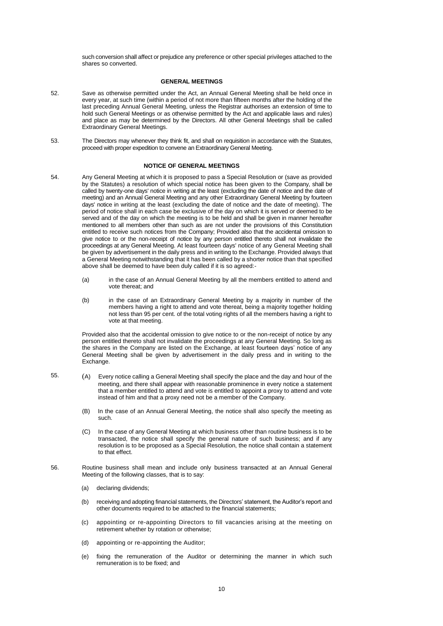such conversion shall affect or prejudice any preference or other special privileges attached to the shares so converted.

#### **GENERAL MEETINGS**

- 52. Save as otherwise permitted under the Act, an Annual General Meeting shall be held once in every year, at such time (within a period of not more than fifteen months after the holding of the last preceding Annual General Meeting, unless the Registrar authorises an extension of time to hold such General Meetings or as otherwise permitted by the Act and applicable laws and rules) and place as may be determined by the Directors. All other General Meetings shall be called Extraordinary General Meetings.
- 53. The Directors may whenever they think fit, and shall on requisition in accordance with the Statutes, proceed with proper expedition to convene an Extraordinary General Meeting.

#### **NOTICE OF GENERAL MEETINGS**

- 54. Any General Meeting at which it is proposed to pass a Special Resolution or (save as provided by the Statutes) a resolution of which special notice has been given to the Company, shall be called by twenty-one days' notice in writing at the least (excluding the date of notice and the date of meeting) and an Annual General Meeting and any other Extraordinary General Meeting by fourteen days' notice in writing at the least (excluding the date of notice and the date of meeting). The period of notice shall in each case be exclusive of the day on which it is served or deemed to be served and of the day on which the meeting is to be held and shall be given in manner hereafter mentioned to all members other than such as are not under the provisions of this Constitution entitled to receive such notices from the Company; Provided also that the accidental omission to give notice to or the non-receipt of notice by any person entitled thereto shall not invalidate the proceedings at any General Meeting. At least fourteen days' notice of any General Meeting shall be given by advertisement in the daily press and in writing to the Exchange. Provided always that a General Meeting notwithstanding that it has been called by a shorter notice than that specified above shall be deemed to have been duly called if it is so agreed:-
	- (a) in the case of an Annual General Meeting by all the members entitled to attend and vote thereat; and
	- (b) in the case of an Extraordinary General Meeting by a majority in number of the members having a right to attend and vote thereat, being a majority together holding not less than 95 per cent. of the total voting rights of all the members having a right to vote at that meeting.

Provided also that the accidental omission to give notice to or the non-receipt of notice by any person entitled thereto shall not invalidate the proceedings at any General Meeting. So long as the shares in the Company are listed on the Exchange, at least fourteen days' notice of any General Meeting shall be given by advertisement in the daily press and in writing to the **Exchange** 

- 55. (A) Every notice calling a General Meeting shall specify the place and the day and hour of the meeting, and there shall appear with reasonable prominence in every notice a statement that a member entitled to attend and vote is entitled to appoint a proxy to attend and vote instead of him and that a proxy need not be a member of the Company.
	- (B) In the case of an Annual General Meeting, the notice shall also specify the meeting as such.
	- In the case of any General Meeting at which business other than routine business is to be transacted, the notice shall specify the general nature of such business; and if any resolution is to be proposed as a Special Resolution, the notice shall contain a statement to that effect.
- 56. Routine business shall mean and include only business transacted at an Annual General Meeting of the following classes, that is to say:
	- (a) declaring dividends;
	- (b) receiving and adopting financial statements, the Directors' statement, the Auditor's report and other documents required to be attached to the financial statements;
	- (c) appointing or re-appointing Directors to fill vacancies arising at the meeting on retirement whether by rotation or otherwise;
	- (d) appointing or re-appointing the Auditor;
	- (e) fixing the remuneration of the Auditor or determining the manner in which such remuneration is to be fixed; and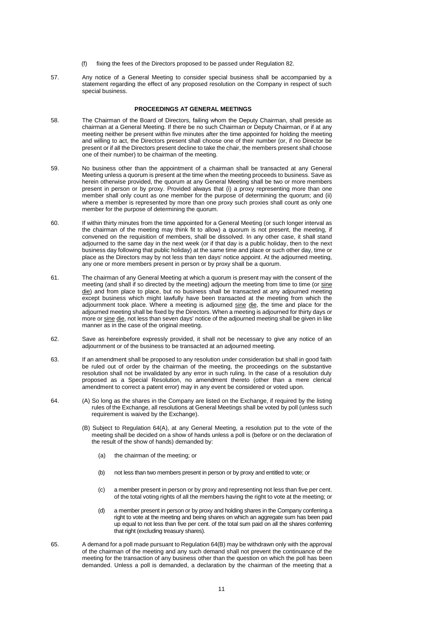- (f) fixing the fees of the Directors proposed to be passed under Regulation 82.
- 57. Any notice of a General Meeting to consider special business shall be accompanied by a statement regarding the effect of any proposed resolution on the Company in respect of such special business.

#### **PROCEEDINGS AT GENERAL MEETINGS**

- 58. The Chairman of the Board of Directors, failing whom the Deputy Chairman, shall preside as chairman at a General Meeting. If there be no such Chairman or Deputy Chairman, or if at any meeting neither be present within five minutes after the time appointed for holding the meeting and willing to act, the Directors present shall choose one of their number (or, if no Director be present or if all the Directors present decline to take the chair, the members present shall choose one of their number) to be chairman of the meeting.
- 59. No business other than the appointment of a chairman shall be transacted at any General Meeting unless a quorum is present at the time when the meeting proceeds to business. Save as herein otherwise provided, the quorum at any General Meeting shall be two or more members present in person or by proxy. Provided always that (i) a proxy representing more than one member shall only count as one member for the purpose of determining the quorum; and (ii) where a member is represented by more than one proxy such proxies shall count as only one member for the purpose of determining the quorum.
- 60. If within thirty minutes from the time appointed for a General Meeting (or such longer interval as the chairman of the meeting may think fit to allow) a quorum is not present, the meeting, if convened on the requisition of members, shall be dissolved. In any other case, it shall stand adjourned to the same day in the next week (or if that day is a public holiday, then to the next business day following that public holiday) at the same time and place or such other day, time or place as the Directors may by not less than ten days' notice appoint. At the adjourned meeting, any one or more members present in person or by proxy shall be a quorum.
- 61. The chairman of any General Meeting at which a quorum is present may with the consent of the meeting (and shall if so directed by the meeting) adjourn the meeting from time to time (or sine die) and from place to place, but no business shall be transacted at any adjourned meeting except business which might lawfully have been transacted at the meeting from which the adjournment took place. Where a meeting is adjourned sine die, the time and place for the adjourned meeting shall be fixed by the Directors. When a meeting is adjourned for thirty days or more or sine die, not less than seven days' notice of the adjourned meeting shall be given in like manner as in the case of the original meeting.
- 62. Save as hereinbefore expressly provided, it shall not be necessary to give any notice of an adjournment or of the business to be transacted at an adjourned meeting.
- 63. If an amendment shall be proposed to any resolution under consideration but shall in good faith be ruled out of order by the chairman of the meeting, the proceedings on the substantive resolution shall not be invalidated by any error in such ruling. In the case of a resolution duly proposed as a Special Resolution, no amendment thereto (other than a mere clerical amendment to correct a patent error) may in any event be considered or voted upon.
- 64. (A) So long as the shares in the Company are listed on the Exchange, if required by the listing rules of the Exchange, all resolutions at General Meetings shall be voted by poll (unless such requirement is waived by the Exchange).
	- (B) Subject to Regulation 64(A), at any General Meeting, a resolution put to the vote of the meeting shall be decided on a show of hands unless a poll is (before or on the declaration of the result of the show of hands) demanded by:
		- (a) the chairman of the meeting; or
		- (b) not less than two members present in person or by proxy and entitled to vote; or
		- (c) a member present in person or by proxy and representing not less than five per cent. of the total voting rights of all the members having the right to vote at the meeting; or
		- (d) a member present in person or by proxy and holding shares in the Company conferring a right to vote at the meeting and being shares on which an aggregate sum has been paid up equal to not less than five per cent. of the total sum paid on all the shares conferring that right (excluding treasury shares).
- 65. A demand for a poll made pursuant to Regulation 64(B) may be withdrawn only with the approval of the chairman of the meeting and any such demand shall not prevent the continuance of the meeting for the transaction of any business other than the question on which the poll has been demanded. Unless a poll is demanded, a declaration by the chairman of the meeting that a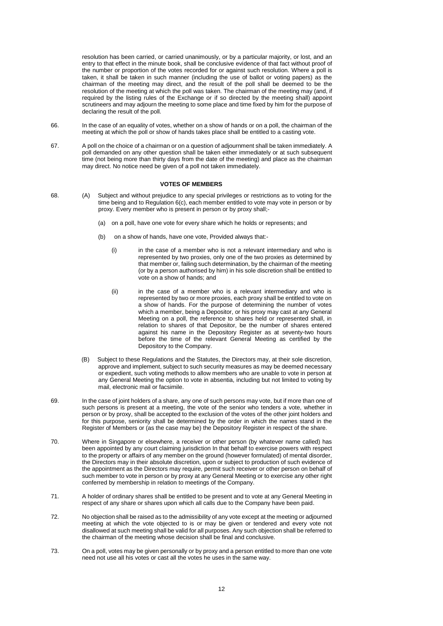resolution has been carried, or carried unanimously, or by a particular majority, or lost, and an entry to that effect in the minute book, shall be conclusive evidence of that fact without proof of the number or proportion of the votes recorded for or against such resolution. Where a poll is taken, it shall be taken in such manner (including the use of ballot or voting papers) as the chairman of the meeting may direct, and the result of the poll shall be deemed to be the resolution of the meeting at which the poll was taken. The chairman of the meeting may (and, if required by the listing rules of the Exchange or if so directed by the meeting shall) appoint scrutineers and may adjourn the meeting to some place and time fixed by him for the purpose of declaring the result of the poll.

- 66. In the case of an equality of votes, whether on a show of hands or on a poll, the chairman of the meeting at which the poll or show of hands takes place shall be entitled to a casting vote.
- 67. A poll on the choice of a chairman or on a question of adjournment shall be taken immediately. A poll demanded on any other question shall be taken either immediately or at such subsequent time (not being more than thirty days from the date of the meeting) and place as the chairman may direct. No notice need be given of a poll not taken immediately.

#### **VOTES OF MEMBERS**

- 68. (A) Subject and without prejudice to any special privileges or restrictions as to voting for the time being and to Regulation 6(c), each member entitled to vote may vote in person or by proxy. Every member who is present in person or by proxy shall;-
	- (a) on a poll, have one vote for every share which he holds or represents; and
	- (b) on a show of hands, have one vote, Provided always that:-
		- (i) in the case of a member who is not a relevant intermediary and who is represented by two proxies, only one of the two proxies as determined by that member or, failing such determination, by the chairman of the meeting (or by a person authorised by him) in his sole discretion shall be entitled to vote on a show of hands; and
		- (ii) in the case of a member who is a relevant intermediary and who is represented by two or more proxies, each proxy shall be entitled to vote on a show of hands. For the purpose of determining the number of votes which a member, being a Depositor, or his proxy may cast at any General Meeting on a poll, the reference to shares held or represented shall, in relation to shares of that Depositor, be the number of shares entered against his name in the Depository Register as at seventy-two hours before the time of the relevant General Meeting as certified by the Depository to the Company.
	- (B) Subject to these Regulations and the Statutes, the Directors may, at their sole discretion, approve and implement, subject to such security measures as may be deemed necessary or expedient, such voting methods to allow members who are unable to vote in person at any General Meeting the option to vote in absentia, including but not limited to voting by mail, electronic mail or facsimile.
- 69. In the case of joint holders of a share, any one of such persons may vote, but if more than one of such persons is present at a meeting, the vote of the senior who tenders a vote, whether in person or by proxy, shall be accepted to the exclusion of the votes of the other joint holders and for this purpose, seniority shall be determined by the order in which the names stand in the Register of Members or (as the case may be) the Depository Register in respect of the share.
- 70. Where in Singapore or elsewhere, a receiver or other person (by whatever name called) has been appointed by any court claiming jurisdiction In that behalf to exercise powers with respect to the property or affairs of any member on the ground (however formulated) of mental disorder, the Directors may in their absolute discretion, upon or subject to production of such evidence of the appointment as the Directors may require, permit such receiver or other person on behalf of such member to vote in person or by proxy at any General Meeting or to exercise any other right conferred by membership in relation to meetings of the Company.
- 71. A holder of ordinary shares shall be entitled to be present and to vote at any General Meeting in respect of any share or shares upon which all calls due to the Company have been paid.
- 72. No objection shall be raised as to the admissibility of any vote except at the meeting or adjourned meeting at which the vote objected to is or may be given or tendered and every vote not disallowed at such meeting shall be valid for all purposes. Any such objection shall be referred to the chairman of the meeting whose decision shall be final and conclusive.
- 73. On a poll, votes may be given personally or by proxy and a person entitled to more than one vote need not use all his votes or cast all the votes he uses in the same way.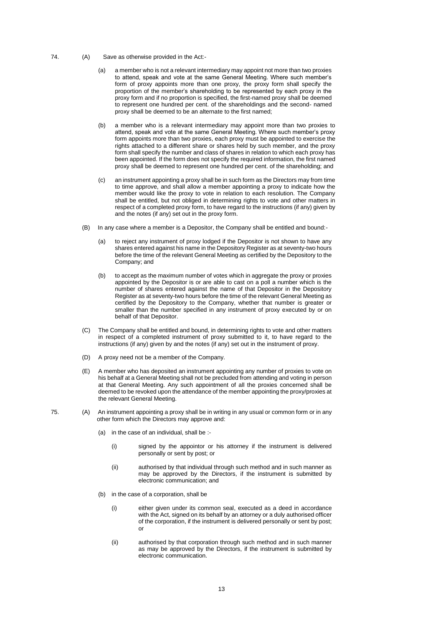- 74. (A) Save as otherwise provided in the Act:-
	- (a) a member who is not a relevant intermediary may appoint not more than two proxies to attend, speak and vote at the same General Meeting. Where such member's form of proxy appoints more than one proxy, the proxy form shall specify the proportion of the member's shareholding to be represented by each proxy in the proxy form and if no proportion is specified, the first-named proxy shall be deemed to represent one hundred per cent. of the shareholdings and the second- named proxy shall be deemed to be an alternate to the first named;
	- (b) a member who is a relevant intermediary may appoint more than two proxies to attend, speak and vote at the same General Meeting. Where such member's proxy form appoints more than two proxies, each proxy must be appointed to exercise the rights attached to a different share or shares held by such member, and the proxy form shall specify the number and class of shares in relation to which each proxy has been appointed. If the form does not specify the required information, the first named proxy shall be deemed to represent one hundred per cent. of the shareholding; and
	- (c) an instrument appointing a proxy shall be in such form as the Directors may from time to time approve, and shall allow a member appointing a proxy to indicate how the member would like the proxy to vote in relation to each resolution. The Company shall be entitled, but not obliged in determining rights to vote and other matters in respect of a completed proxy form, to have regard to the instructions (if any) given by and the notes (if any) set out in the proxy form.
	- (B) In any case where a member is a Depositor, the Company shall be entitled and bound:-
		- (a) to reject any instrument of proxy lodged if the Depositor is not shown to have any shares entered against his name in the Depository Register as at seventy-two hours before the time of the relevant General Meeting as certified by the Depository to the Company; and
		- (b) to accept as the maximum number of votes which in aggregate the proxy or proxies appointed by the Depositor is or are able to cast on a poll a number which is the number of shares entered against the name of that Depositor in the Depository Register as at seventy-two hours before the time of the relevant General Meeting as certified by the Depository to the Company, whether that number is greater or smaller than the number specified in any instrument of proxy executed by or on behalf of that Depositor.
	- (C) The Company shall be entitled and bound, in determining rights to vote and other matters in respect of a completed instrument of proxy submitted to it, to have regard to the instructions (if any) given by and the notes (if any) set out in the instrument of proxy.
	- (D) A proxy need not be a member of the Company.
	- (E) A member who has deposited an instrument appointing any number of proxies to vote on his behalf at a General Meeting shall not be precluded from attending and voting in person at that General Meeting. Any such appointment of all the proxies concerned shall be deemed to be revoked upon the attendance of the member appointing the proxy/proxies at the relevant General Meeting.
- 75. (A) An instrument appointing a proxy shall be in writing in any usual or common form or in any other form which the Directors may approve and:
	- (a) in the case of an individual, shall be :-
		- (i) signed by the appointor or his attorney if the instrument is delivered personally or sent by post; or
		- (ii) authorised by that individual through such method and in such manner as may be approved by the Directors, if the instrument is submitted by electronic communication; and
	- (b) in the case of a corporation, shall be
		- (i) either given under its common seal, executed as a deed in accordance with the Act, signed on its behalf by an attorney or a duly authorised officer of the corporation, if the instrument is delivered personally or sent by post; or
		- (ii) authorised by that corporation through such method and in such manner as may be approved by the Directors, if the instrument is submitted by electronic communication.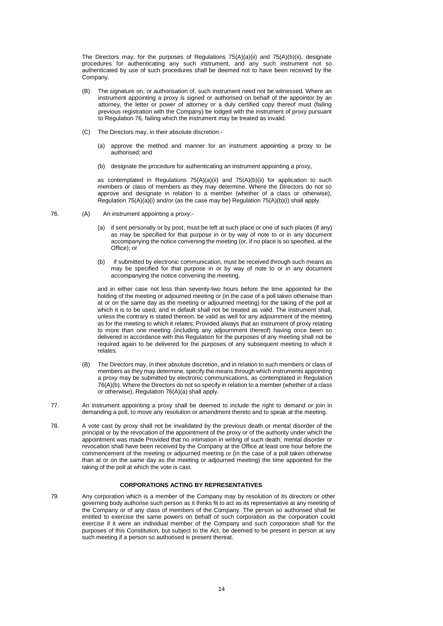The Directors may, for the purposes of Regulations  $75(A)(a)(ii)$  and  $75(A)(b)(ii)$ , designate procedures for authenticating any such instrument, and any such instrument not so authenticated by use of such procedures shall be deemed not to have been received by the Company.

- (B) The signature on, or authorisation of, such instrument need not be witnessed. Where an instrument appointing a proxy is signed or authorised on behalf of the appointor by an attorney, the letter or power of attorney or a duly certified copy thereof must (failing previous registration with the Company) be lodged with the instrument of proxy pursuant to Regulation 76, failing which the instrument may be treated as invalid.
- (C) The Directors may, in their absolute discretion:-
	- (a) approve the method and manner for an instrument appointing a proxy to be authorised; and
	- (b) designate the procedure for authenticating an instrument appointing a proxy,

as contemplated in Regulations 75(A)(a)(ii) and 75(A)(b)(ii) for application to such members or class of members as they may determine. Where the Directors do not so approve and designate in relation to a member (whether of a class or otherwise), Regulation  $75(A)(a)(i)$  and/or (as the case may be) Regulation  $75(A)(b)(i)$  shall apply.

- 76. (A) An instrument appointing a proxy:-
	- (a) if sent personally or by post, must be left at such place or one of such places (if any) as may be specified for that purpose in or by way of note to or in any document accompanying the notice convening the meeting (or, if no place is so specified, at the Office); or
	- (b) if submitted by electronic communication, must be received through such means as may be specified for that purpose in or by way of note to or in any document accompanying the notice convening the meeting,

and in either case not less than seventy-two hours before the time appointed for the holding of the meeting or adjourned meeting or (in the case of a poll taken otherwise than at or on the same day as the meeting or adjourned meeting) for the taking of the poll at which it is to be used, and in default shall not be treated as valid. The instrument shall, unless the contrary is stated thereon, be valid as well for any adjournment of the meeting as for the meeting to which it relates; Provided always that an instrument of proxy relating to more than one meeting (including any adjournment thereof) having once been so delivered in accordance with this Regulation for the purposes of any meeting shall not be required again to be delivered for the purposes of any subsequent meeting to which it relates.

- (B) The Directors may, in their absolute discretion, and in relation to such members or class of members as they may determine, specify the means through which instruments appointing a proxy may be submitted by electronic communications, as contemplated in Regulation 76(A)(b). Where the Directors do not so specify in relation to a member (whether of a class or otherwise), Regulation 76(A)(a) shall apply.
- 77. An instrument appointing a proxy shall be deemed to include the right to demand or join in demanding a poll, to move any resolution or amendment thereto and to speak at the meeting.
- 78. A vote cast by proxy shall not be invalidated by the previous death or mental disorder of the principal or by the revocation of the appointment of the proxy or of the authority under which the appointment was made Provided that no intimation in writing of such death, mental disorder or revocation shall have been received by the Company at the Office at least one hour before the commencement of the meeting or adjourned meeting or (in the case of a poll taken otherwise than at or on the same day as the meeting or adjourned meeting) the time appointed for the taking of the poll at which the vote is cast.

# **CORPORATIONS ACTING BY REPRESENTATIVES**

79. Any corporation which is a member of the Company may by resolution of its directors or other governing body authorise such person as it thinks fit to act as its representative at any meeting of the Company or of any class of members of the Company. The person so authorised shall be entitled to exercise the same powers on behalf of such corporation as the corporation could exercise if it were an individual member of the Company and such corporation shall for the purposes of this Constitution, but subject to the Act, be deemed to be present in person at any such meeting if a person so authorised is present thereat.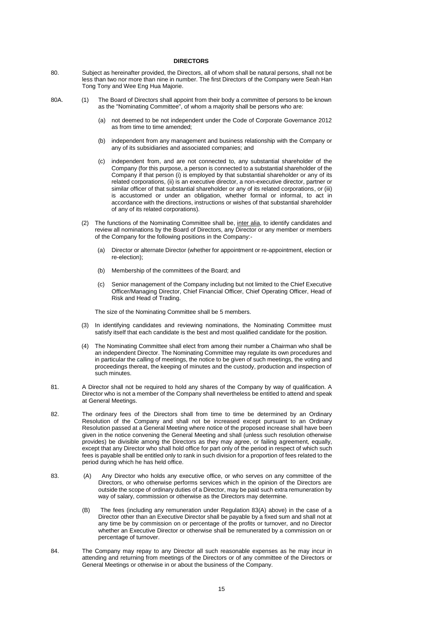## **DIRECTORS**

- 80. Subject as hereinafter provided, the Directors, all of whom shall be natural persons, shall not be less than two nor more than nine in number. The first Directors of the Company were Seah Han Tong Tony and Wee Eng Hua Majorie.
- 80A. (1) The Board of Directors shall appoint from their body a committee of persons to be known as the "Nominating Committee", of whom a majority shall be persons who are:
	- (a) not deemed to be not independent under the Code of Corporate Governance 2012 as from time to time amended;
	- (b) independent from any management and business relationship with the Company or any of its subsidiaries and associated companies; and
	- (c) independent from, and are not connected to, any substantial shareholder of the Company (for this purpose, a person is connected to a substantial shareholder of the Company if that person (i) is employed by that substantial shareholder or any of its related corporations, (ii) is an executive director, a non-executive director, partner or similar officer of that substantial shareholder or any of its related corporations, or (iii) is accustomed or under an obligation, whether formal or informal, to act in accordance with the directions, instructions or wishes of that substantial shareholder of any of its related corporations).
	- (2) The functions of the Nominating Committee shall be, inter alia, to identify candidates and review all nominations by the Board of Directors, any Director or any member or members of the Company for the following positions in the Company:-
		- (a) Director or alternate Director (whether for appointment or re-appointment, election or re-election);
		- (b) Membership of the committees of the Board; and
		- (c) Senior management of the Company including but not limited to the Chief Executive Officer/Managing Director, Chief Financial Officer, Chief Operating Officer, Head of Risk and Head of Trading.

The size of the Nominating Committee shall be 5 members.

- (3) In identifying candidates and reviewing nominations, the Nominating Committee must satisfy itself that each candidate is the best and most qualified candidate for the position.
- (4) The Nominating Committee shall elect from among their number a Chairman who shall be an independent Director. The Nominating Committee may regulate its own procedures and in particular the calling of meetings, the notice to be given of such meetings, the voting and proceedings thereat, the keeping of minutes and the custody, production and inspection of such minutes.
- 81. A Director shall not be required to hold any shares of the Company by way of qualification. A Director who is not a member of the Company shall nevertheless be entitled to attend and speak at General Meetings.
- 82. The ordinary fees of the Directors shall from time to time be determined by an Ordinary Resolution of the Company and shall not be increased except pursuant to an Ordinary Resolution passed at a General Meeting where notice of the proposed increase shall have been given in the notice convening the General Meeting and shall (unless such resolution otherwise provides) be divisible among the Directors as they may agree, or failing agreement, equally, except that any Director who shall hold office for part only of the period in respect of which such fees is payable shall be entitled only to rank in such division for a proportion of fees related to the period during which he has held office.
- 83. (A) Any Director who holds any executive office, or who serves on any committee of the Directors, or who otherwise performs services which in the opinion of the Directors are outside the scope of ordinary duties of a Director, may be paid such extra remuneration by way of salary, commission or otherwise as the Directors may determine.
	- (B) The fees (including any remuneration under Regulation 83(A) above) in the case of a Director other than an Executive Director shall be payable by a fixed sum and shall not at any time be by commission on or percentage of the profits or turnover, and no Director whether an Executive Director or otherwise shall be remunerated by a commission on or percentage of turnover.
- 84. The Company may repay to any Director all such reasonable expenses as he may incur in attending and returning from meetings of the Directors or of any committee of the Directors or General Meetings or otherwise in or about the business of the Company.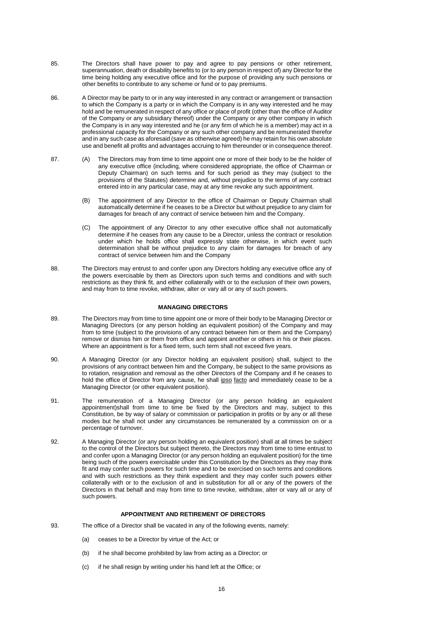- 85. The Directors shall have power to pay and agree to pay pensions or other retirement, superannuation, death or disability benefits to (or to any person in respect of) any Director for the time being holding any executive office and for the purpose of providing any such pensions or other benefits to contribute to any scheme or fund or to pay premiums.
- 86. A Director may be party to or in any way interested in any contract or arrangement or transaction to which the Company is a party or in which the Company is in any way interested and he may hold and be remunerated in respect of any office or place of profit (other than the office of Auditor of the Company or any subsidiary thereof) under the Company or any other company in which the Company is in any way interested and he (or any firm of which he is a member) may act in a professional capacity for the Company or any such other company and be remunerated therefor and in any such case as aforesaid (save as otherwise agreed) he may retain for his own absolute use and benefit all profits and advantages accruing to him thereunder or in consequence thereof.
- 87. (A) The Directors may from time to time appoint one or more of their body to be the holder of any executive office (including, where considered appropriate, the office of Chairman or Deputy Chairman) on such terms and for such period as they may (subject to the provisions of the Statutes) determine and, without prejudice to the terms of any contract entered into in any particular case, may at any time revoke any such appointment.
	- (B) The appointment of any Director to the office of Chairman or Deputy Chairman shall automatically determine if he ceases to be a Director but without prejudice to any claim for damages for breach of any contract of service between him and the Company.
	- (C) The appointment of any Director to any other executive office shall not automatically determine if he ceases from any cause to be a Director, unless the contract or resolution under which he holds office shall expressly state otherwise, in which event such determination shall be without prejudice to any claim for damages for breach of any contract of service between him and the Company
- 88. The Directors may entrust to and confer upon any Directors holding any executive office any of the powers exercisable by them as Directors upon such terms and conditions and with such restrictions as they think fit, and either collaterally with or to the exclusion of their own powers, and may from to time revoke, withdraw, alter or vary all or any of such powers.

#### **MANAGING DIRECTORS**

- 89. The Directors may from time to time appoint one or more of their body to be Managing Director or Managing Directors (or any person holding an equivalent position) of the Company and may from to time (subject to the provisions of any contract between him or them and the Company) remove or dismiss him or them from office and appoint another or others in his or their places. Where an appointment is for a fixed term, such term shall not exceed five years.
- 90. A Managing Director (or any Director holding an equivalent position) shall, subject to the provisions of any contract between him and the Company, be subject to the same provisions as to rotation, resignation and removal as the other Directors of the Company and if he ceases to hold the office of Director from any cause, he shall ipso facto and immediately cease to be a Managing Director (or other equivalent position).
- 91. The remuneration of a Managing Director (or any person holding an equivalent appointment)shall from time to time be fixed by the Directors and may, subject to this Constitution, be by way of salary or commission or participation in profits or by any or all these modes but he shall not under any circumstances be remunerated by a commission on or a percentage of turnover.
- 92. A Managing Director (or any person holding an equivalent position) shall at all times be subject to the control of the Directors but subject thereto, the Directors may from time to time entrust to and confer upon a Managing Director (or any person holding an equivalent position) for the time being such of the powers exercisable under this Constitution by the Directors as they may think fit and may confer such powers for such time and to be exercised on such terms and conditions and with such restrictions as they think expedient and they may confer such powers either collaterally with or to the exclusion of and in substitution for all or any of the powers of the Directors in that behalf and may from time to time revoke, withdraw, alter or vary all or any of such powers.

### **APPOINTMENT AND RETIREMENT OF DIRECTORS**

- 93. The office of a Director shall be vacated in any of the following events, namely:
	- (a) ceases to be a Director by virtue of the Act; or
	- (b) if he shall become prohibited by law from acting as a Director; or
	- (c) if he shall resign by writing under his hand left at the Office; or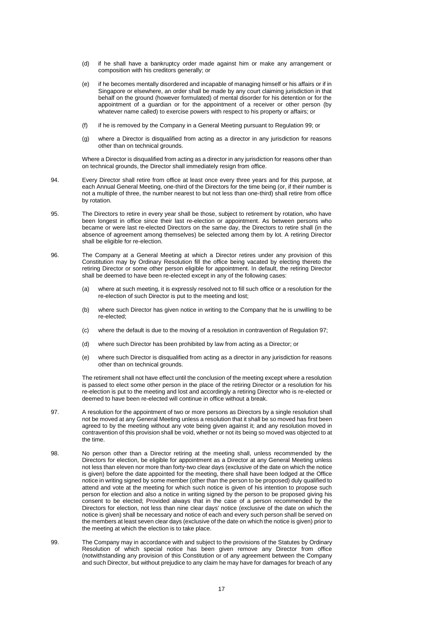- (d) if he shall have a bankruptcy order made against him or make any arrangement or composition with his creditors generally; or
- (e) if he becomes mentally disordered and incapable of managing himself or his affairs or if in Singapore or elsewhere, an order shall be made by any court claiming jurisdiction in that behalf on the ground (however formulated) of mental disorder for his detention or for the appointment of a quardian or for the appointment of a receiver or other person (by whatever name called) to exercise powers with respect to his property or affairs; or
- (f) if he is removed by the Company in a General Meeting pursuant to Regulation 99; or
- (g) where a Director is disqualified from acting as a director in any jurisdiction for reasons other than on technical grounds.

Where a Director is disqualified from acting as a director in any jurisdiction for reasons other than on technical grounds, the Director shall immediately resign from office.

- 94. Every Director shall retire from office at least once every three years and for this purpose, at each Annual General Meeting, one-third of the Directors for the time being (or, if their number is not a multiple of three, the number nearest to but not less than one-third) shall retire from office by rotation.
- 95. The Directors to retire in every year shall be those, subject to retirement by rotation, who have been longest in office since their last re-election or appointment. As between persons who became or were last re-elected Directors on the same day, the Directors to retire shall (in the absence of agreement among themselves) be selected among them by lot. A retiring Director shall be eligible for re-election.
- 96. The Company at a General Meeting at which a Director retires under any provision of this Constitution may by Ordinary Resolution fill the office being vacated by electing thereto the retiring Director or some other person eligible for appointment. In default, the retiring Director shall be deemed to have been re-elected except in any of the following cases:
	- (a) where at such meeting, it is expressly resolved not to fill such office or a resolution for the re-election of such Director is put to the meeting and lost;
	- (b) where such Director has given notice in writing to the Company that he is unwilling to be re-elected;
	- (c) where the default is due to the moving of a resolution in contravention of Regulation 97;
	- (d) where such Director has been prohibited by law from acting as a Director; or
	- (e) where such Director is disqualified from acting as a director in any jurisdiction for reasons other than on technical grounds.

The retirement shall not have effect until the conclusion of the meeting except where a resolution is passed to elect some other person in the place of the retiring Director or a resolution for his re-election is put to the meeting and lost and accordingly a retiring Director who is re-elected or deemed to have been re-elected will continue in office without a break.

- 97. A resolution for the appointment of two or more persons as Directors by a single resolution shall not be moved at any General Meeting unless a resolution that it shall be so moved has first been agreed to by the meeting without any vote being given against it; and any resolution moved in contravention of this provision shall be void, whether or not its being so moved was objected to at the time.
- 98. No person other than a Director retiring at the meeting shall, unless recommended by the Directors for election, be eligible for appointment as a Director at any General Meeting unless not less than eleven nor more than forty-two clear days (exclusive of the date on which the notice is given) before the date appointed for the meeting, there shall have been lodged at the Office notice in writing signed by some member (other than the person to be proposed) duly qualified to attend and vote at the meeting for which such notice is given of his intention to propose such person for election and also a notice in writing signed by the person to be proposed giving his consent to be elected; Provided always that in the case of a person recommended by the Directors for election, not less than nine clear days' notice (exclusive of the date on which the notice is given) shall be necessary and notice of each and every such person shall be served on the members at least seven clear days (exclusive of the date on which the notice is given) prior to the meeting at which the election is to take place.
- 99. The Company may in accordance with and subject to the provisions of the Statutes by Ordinary Resolution of which special notice has been given remove any Director from office (notwithstanding any provision of this Constitution or of any agreement between the Company and such Director, but without prejudice to any claim he may have for damages for breach of any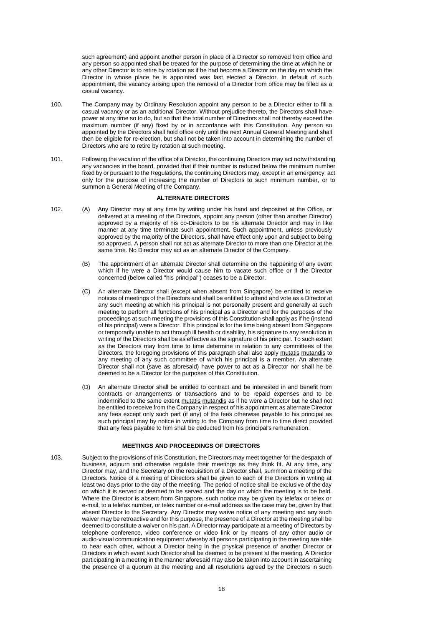such agreement) and appoint another person in place of a Director so removed from office and any person so appointed shall be treated for the purpose of determining the time at which he or any other Director is to retire by rotation as if he had become a Director on the day on which the Director in whose place he is appointed was last elected a Director. In default of such appointment, the vacancy arising upon the removal of a Director from office may be filled as a casual vacancy.

- 100. The Company may by Ordinary Resolution appoint any person to be a Director either to fill a casual vacancy or as an additional Director. Without prejudice thereto, the Directors shall have power at any time so to do, but so that the total number of Directors shall not thereby exceed the maximum number (if any) fixed by or in accordance with this Constitution. Any person so appointed by the Directors shall hold office only until the next Annual General Meeting and shall then be eligible for re-election, but shall not be taken into account in determining the number of Directors who are to retire by rotation at such meeting.
- 101. Following the vacation of the office of a Director, the continuing Directors may act notwithstanding any vacancies in the board, provided that if their number is reduced below the minimum number fixed by or pursuant to the Regulations, the continuing Directors may, except in an emergency, act only for the purpose of increasing the number of Directors to such minimum number, or to summon a General Meeting of the Company.

### **ALTERNATE DIRECTORS**

- 102. (A) Any Director may at any time by writing under his hand and deposited at the Office, or delivered at a meeting of the Directors, appoint any person (other than another Director) approved by a majority of his co-Directors to be his alternate Director and may in like manner at any time terminate such appointment. Such appointment, unless previously approved by the majority of the Directors, shall have effect only upon and subject to being so approved. A person shall not act as alternate Director to more than one Director at the same time. No Director may act as an alternate Director of the Company.
	- (B) The appointment of an alternate Director shall determine on the happening of any event which if he were a Director would cause him to vacate such office or if the Director concerned (below called "his principal") ceases to be a Director.
	- (C) An alternate Director shall (except when absent from Singapore) be entitled to receive notices of meetings of the Directors and shall be entitled to attend and vote as a Director at any such meeting at which his principal is not personally present and generally at such meeting to perform all functions of his principal as a Director and for the purposes of the proceedings at such meeting the provisions of this Constitution shall apply as if he (instead of his principal) were a Director. If his principal is for the time being absent from Singapore or temporarily unable to act through ill health or disability, his signature to any resolution in writing of the Directors shall be as effective as the signature of his principal. To such extent as the Directors may from time to time determine in relation to any committees of the Directors, the foregoing provisions of this paragraph shall also apply mutatis mutandis to any meeting of any such committee of which his principal is a member. An alternate Director shall not (save as aforesaid) have power to act as a Director nor shall he be deemed to be a Director for the purposes of this Constitution.
	- (D) An alternate Director shall be entitled to contract and be interested in and benefit from contracts or arrangements or transactions and to be repaid expenses and to be indemnified to the same extent mutatis mutandis as if he were a Director but he shall not be entitled to receive from the Company in respect of his appointment as alternate Director any fees except only such part (if any) of the fees otherwise payable to his principal as such principal may by notice in writing to the Company from time to time direct provided that any fees payable to him shall be deducted from his principal's remuneration.

#### **MEETINGS AND PROCEEDINGS OF DIRECTORS**

103. Subject to the provisions of this Constitution, the Directors may meet together for the despatch of business, adjourn and otherwise regulate their meetings as they think fit. At any time, any Director may, and the Secretary on the requisition of a Director shall, summon a meeting of the Directors. Notice of a meeting of Directors shall be given to each of the Directors in writing at least two days prior to the day of the meeting. The period of notice shall be exclusive of the day on which it is served or deemed to be served and the day on which the meeting is to be held. Where the Director is absent from Singapore, such notice may be given by telefax or telex or e-mail, to a telefax number, or telex number or e-mail address as the case may be, given by that absent Director to the Secretary. Any Director may waive notice of any meeting and any such waiver may be retroactive and for this purpose, the presence of a Director at the meeting shall be deemed to constitute a waiver on his part. A Director may participate at a meeting of Directors by telephone conference, video conference or video link or by means of any other audio or audio-visual communication equipment whereby all persons participating in the meeting are able to hear each other, without a Director being in the physical presence of another Director or Directors in which event such Director shall be deemed to be present at the meeting. A Director participating in a meeting in the manner aforesaid may also be taken into account in ascertaining the presence of a quorum at the meeting and all resolutions agreed by the Directors in such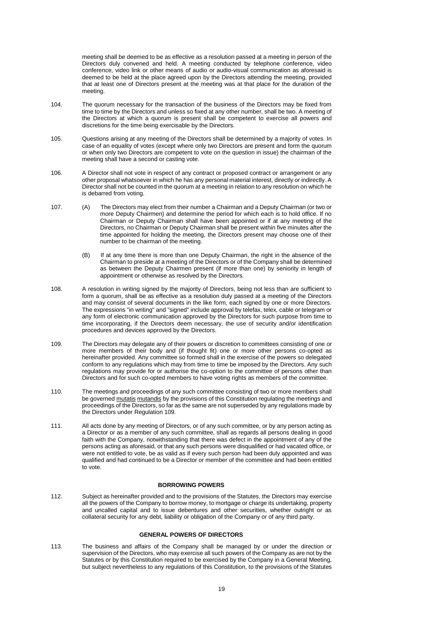meeting shall be deemed to be as effective as a resolution passed at a meeting in person of the Directors duly convened and held. A meeting conducted by telephone conference, video conference, video link or other means of audio or audio-visual communication as aforesaid is deemed to be held at the place agreed upon by the Directors attending the meeting, provided that at least one of Directors present at the meeting was at that place for the duration of the meeting.

- 104. The quorum necessary for the transaction of the business of the Directors may be fixed from time to time by the Directors and unless so fixed at any other number, shall be two. A meeting of the Directors at which a quorum is present shall be competent to exercise all powers and discretions for the time being exercisable by the Directors.
- 105. Questions arising at any meeting of the Directors shall be determined by a majority of votes. In case of an equality of votes (except where only two Directors are present and form the quorum or when only two Directors are competent to vote on the question in issue) the chairman of the meeting shall have a second or casting vote.
- 106. A Director shall not vote in respect of any contract or proposed contract or arrangement or any other proposal whatsoever in which he has any personal material interest, directly or indirectly. A Director shall not be counted in the quorum at a meeting in relation to any resolution on which he is debarred from voting.
- 107. (A) The Directors may elect from their number a Chairman and a Deputy Chairman (or two or more Deputy Chairmen) and determine the period for which each is to hold office. If no Chairman or Deputy Chairman shall have been appointed or if at any meeting of the Directors, no Chairman or Deputy Chairman shall be present within five minutes after the time appointed for holding the meeting, the Directors present may choose one of their number to be chairman of the meeting.
	- (B) If at any time there is more than one Deputy Chairman, the right in the absence of the Chairman to preside at a meeting of the Directors or of the Company shall be determined as between the Deputy Chairmen present (if more than one) by seniority in length of appointment or otherwise as resolved by the Directors.
- 108. A resolution in writing signed by the majority of Directors, being not less than are sufficient to form a quorum, shall be as effective as a resolution duly passed at a meeting of the Directors and may consist of several documents in the like form, each signed by one or more Directors. The expressions "in writing" and "signed" include approval by telefax, telex, cable or telegram or any form of electronic communication approved by the Directors for such purpose from time to time incorporating, if the Directors deem necessary, the use of security and/or identification procedures and devices approved by the Directors.
- 109. The Directors may delegate any of their powers or discretion to committees consisting of one or more members of their body and (if thought fit) one or more other persons co-opted as hereinafter provided. Any committee so formed shall in the exercise of the powers so delegated conform to any regulations which may from time to time be imposed by the Directors. Any such regulations may provide for or authorise the co-option to the committee of persons other than Directors and for such co-opted members to have voting rights as members of the committee.
- 110. The meetings and proceedings of any such committee consisting of two or more members shall be governed mutatis mutandis by the provisions of this Constitution regulating the meetings and proceedings of the Directors, so far as the same are not superseded by any regulations made by the Directors under Regulation 109.
- 111. All acts done by any meeting of Directors, or of any such committee, or by any person acting as a Director or as a member of any such committee, shall as regards all persons dealing in good faith with the Company, notwithstanding that there was defect in the appointment of any of the persons acting as aforesaid, or that any such persons were disqualified or had vacated office, or were not entitled to vote, be as valid as if every such person had been duly appointed and was qualified and had continued to be a Director or member of the committee and had been entitled to vote.

### **BORROWING POWERS**

112. Subject as hereinafter provided and to the provisions of the Statutes, the Directors may exercise all the powers of the Company to borrow money, to mortgage or charge its undertaking, property and uncalled capital and to issue debentures and other securities, whether outright or as collateral security for any debt, liability or obligation of the Company or of any third party.

### **GENERAL POWERS OF DIRECTORS**

113. The business and affairs of the Company shall be managed by or under the direction or supervision of the Directors, who may exercise all such powers of the Company as are not by the Statutes or by this Constitution required to be exercised by the Company in a General Meeting, but subject nevertheless to any regulations of this Constitution, to the provisions of the Statutes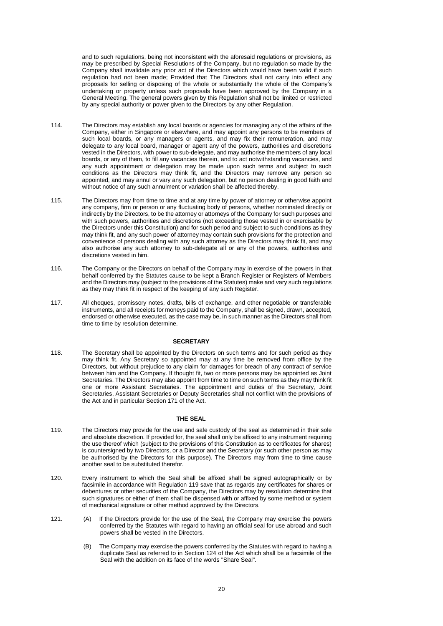and to such regulations, being not inconsistent with the aforesaid regulations or provisions, as may be prescribed by Special Resolutions of the Company, but no regulation so made by the Company shall invalidate any prior act of the Directors which would have been valid if such regulation had not been made; Provided that The Directors shall not carry into effect any proposals for selling or disposing of the whole or substantially the whole of the Company's undertaking or property unless such proposals have been approved by the Company in a General Meeting. The general powers given by this Regulation shall not be limited or restricted by any special authority or power given to the Directors by any other Regulation.

- 114. The Directors may establish any local boards or agencies for managing any of the affairs of the Company, either in Singapore or elsewhere, and may appoint any persons to be members of such local boards, or any managers or agents, and may fix their remuneration, and may delegate to any local board, manager or agent any of the powers, authorities and discretions vested in the Directors, with power to sub-delegate, and may authorise the members of any local boards, or any of them, to fill any vacancies therein, and to act notwithstanding vacancies, and any such appointment or delegation may be made upon such terms and subject to such conditions as the Directors may think fit, and the Directors may remove any person so appointed, and may annul or vary any such delegation, but no person dealing in good faith and without notice of any such annulment or variation shall be affected thereby.
- 115. The Directors may from time to time and at any time by power of attorney or otherwise appoint any company, firm or person or any fluctuating body of persons, whether nominated directly or indirectly by the Directors, to be the attorney or attorneys of the Company for such purposes and with such powers, authorities and discretions (not exceeding those vested in or exercisable by the Directors under this Constitution) and for such period and subject to such conditions as they may think fit, and any such power of attorney may contain such provisions for the protection and convenience of persons dealing with any such attorney as the Directors may think fit, and may also authorise any such attorney to sub-delegate all or any of the powers, authorities and discretions vested in him.
- 116. The Company or the Directors on behalf of the Company may in exercise of the powers in that behalf conferred by the Statutes cause to be kept a Branch Register or Registers of Members and the Directors may (subject to the provisions of the Statutes) make and vary such regulations as they may think fit in respect of the keeping of any such Register.
- 117. All cheques, promissory notes, drafts, bills of exchange, and other negotiable or transferable instruments, and all receipts for moneys paid to the Company, shall be signed, drawn, accepted, endorsed or otherwise executed, as the case may be, in such manner as the Directors shall from time to time by resolution determine.

## **SECRETARY**

118. The Secretary shall be appointed by the Directors on such terms and for such period as they may think fit. Any Secretary so appointed may at any time be removed from office by the Directors, but without prejudice to any claim for damages for breach of any contract of service between him and the Company. If thought fit, two or more persons may be appointed as Joint Secretaries. The Directors may also appoint from time to time on such terms as they may think fit one or more Assistant Secretaries. The appointment and duties of the Secretary, Joint Secretaries, Assistant Secretaries or Deputy Secretaries shall not conflict with the provisions of the Act and in particular Section 171 of the Act.

#### **THE SEAL**

- 119. The Directors may provide for the use and safe custody of the seal as determined in their sole and absolute discretion. If provided for, the seal shall only be affixed to any instrument requiring the use thereof which (subject to the provisions of this Constitution as to certificates for shares) is countersigned by two Directors, or a Director and the Secretary (or such other person as may be authorised by the Directors for this purpose). The Directors may from time to time cause another seal to be substituted therefor.
- 120. Every instrument to which the Seal shall be affixed shall be signed autographically or by facsimile in accordance with Regulation 119 save that as regards any certificates for shares or debentures or other securities of the Company, the Directors may by resolution determine that such signatures or either of them shall be dispensed with or affixed by some method or system of mechanical signature or other method approved by the Directors.
- 121. (A) If the Directors provide for the use of the Seal, the Company may exercise the powers conferred by the Statutes with regard to having an official seal for use abroad and such powers shall be vested in the Directors.
	- (B) The Company may exercise the powers conferred by the Statutes with regard to having a duplicate Seal as referred to in Section 124 of the Act which shall be a facsimile of the Seal with the addition on its face of the words "Share Seal".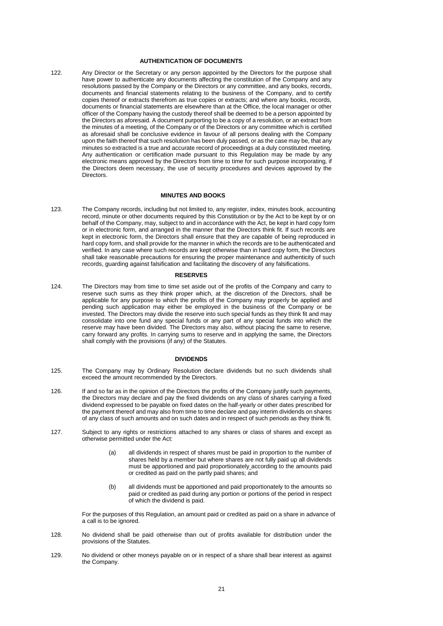# **AUTHENTICATION OF DOCUMENTS**

122. Any Director or the Secretary or any person appointed by the Directors for the purpose shall have power to authenticate any documents affecting the constitution of the Company and any resolutions passed by the Company or the Directors or any committee, and any books, records, documents and financial statements relating to the business of the Company, and to certify copies thereof or extracts therefrom as true copies or extracts; and where any books, records, documents or financial statements are elsewhere than at the Office, the local manager or other officer of the Company having the custody thereof shall be deemed to be a person appointed by the Directors as aforesaid. A document purporting to be a copy of a resolution, or an extract from the minutes of a meeting, of the Company or of the Directors or any committee which is certified as aforesaid shall be conclusive evidence in favour of all persons dealing with the Company upon the faith thereof that such resolution has been duly passed, or as the case may be, that any minutes so extracted is a true and accurate record of proceedings at a duly constituted meeting. Any authentication or certification made pursuant to this Regulation may be made by any electronic means approved by the Directors from time to time for such purpose incorporating, if the Directors deem necessary, the use of security procedures and devices approved by the Directors.

### **MINUTES AND BOOKS**

123. The Company records, including but not limited to, any register, index, minutes book, accounting record, minute or other documents required by this Constitution or by the Act to be kept by or on behalf of the Company, may, subject to and in accordance with the Act, be kept in hard copy form or in electronic form, and arranged in the manner that the Directors think fit. If such records are kept in electronic form, the Directors shall ensure that they are capable of being reproduced in hard copy form, and shall provide for the manner in which the records are to be authenticated and verified. In any case where such records are kept otherwise than in hard copy form, the Directors shall take reasonable precautions for ensuring the proper maintenance and authenticity of such records, guarding against falsification and facilitating the discovery of any falsifications.

#### **RESERVES**

124. The Directors may from time to time set aside out of the profits of the Company and carry to reserve such sums as they think proper which, at the discretion of the Directors, shall be applicable for any purpose to which the profits of the Company may properly be applied and pending such application may either be employed in the business of the Company or be invested. The Directors may divide the reserve into such special funds as they think fit and may consolidate into one fund any special funds or any part of any special funds into which the reserve may have been divided. The Directors may also, without placing the same to reserve, carry forward any profits. In carrying sums to reserve and in applying the same, the Directors shall comply with the provisions (if any) of the Statutes.

### **DIVIDENDS**

- 125. The Company may by Ordinary Resolution declare dividends but no such dividends shall exceed the amount recommended by the Directors.
- 126. If and so far as in the opinion of the Directors the profits of the Company justify such payments, the Directors may declare and pay the fixed dividends on any class of shares carrying a fixed dividend expressed to be payable on fixed dates on the half-yearly or other dates prescribed for the payment thereof and may also from time to time declare and pay interim dividends on shares of any class of such amounts and on such dates and in respect of such periods as they think fit.
- 127. Subject to any rights or restrictions attached to any shares or class of shares and except as otherwise permitted under the Act:
	- (a) all dividends in respect of shares must be paid in proportion to the number of shares held by a member but where shares are not fully paid up all dividends must be apportioned and paid proportionately according to the amounts paid or credited as paid on the partly paid shares; and
	- (b) all dividends must be apportioned and paid proportionately to the amounts so paid or credited as paid during any portion or portions of the period in respect of which the dividend is paid.

For the purposes of this Regulation, an amount paid or credited as paid on a share in advance of a call is to be ignored.

- 128. No dividend shall be paid otherwise than out of profits available for distribution under the provisions of the Statutes.
- 129. No dividend or other moneys payable on or in respect of a share shall bear interest as against the Company.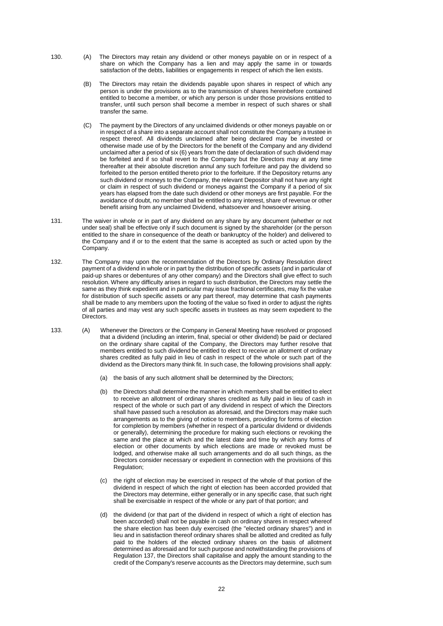- 130. (A) The Directors may retain any dividend or other moneys payable on or in respect of a share on which the Company has a lien and may apply the same in or towards satisfaction of the debts, liabilities or engagements in respect of which the lien exists.
	- (B) The Directors may retain the dividends payable upon shares in respect of which any person is under the provisions as to the transmission of shares hereinbefore contained entitled to become a member, or which any person is under those provisions entitled to transfer, until such person shall become a member in respect of such shares or shall transfer the same.
	- (C) The payment by the Directors of any unclaimed dividends or other moneys payable on or in respect of a share into a separate account shall not constitute the Company a trustee in respect thereof. All dividends unclaimed after being declared may be invested or otherwise made use of by the Directors for the benefit of the Company and any dividend unclaimed after a period of six (6) years from the date of declaration of such dividend may be forfeited and if so shall revert to the Company but the Directors may at any time thereafter at their absolute discretion annul any such forfeiture and pay the dividend so forfeited to the person entitled thereto prior to the forfeiture. If the Depository returns any such dividend or moneys to the Company, the relevant Depositor shall not have any right or claim in respect of such dividend or moneys against the Company if a period of six years has elapsed from the date such dividend or other moneys are first payable. For the avoidance of doubt, no member shall be entitled to any interest, share of revenue or other benefit arising from any unclaimed Dividend, whatsoever and howsoever arising.
- 131. The waiver in whole or in part of any dividend on any share by any document (whether or not under seal) shall be effective only if such document is signed by the shareholder (or the person entitled to the share in consequence of the death or bankruptcy of the holder) and delivered to the Company and if or to the extent that the same is accepted as such or acted upon by the Company.
- 132. The Company may upon the recommendation of the Directors by Ordinary Resolution direct payment of a dividend in whole or in part by the distribution of specific assets (and in particular of paid-up shares or debentures of any other company) and the Directors shall give effect to such resolution. Where any difficulty arises in regard to such distribution, the Directors may settle the same as they think expedient and in particular may issue fractional certificates, may fix the value for distribution of such specific assets or any part thereof, may determine that cash payments shall be made to any members upon the footing of the value so fixed in order to adjust the rights of all parties and may vest any such specific assets in trustees as may seem expedient to the Directors.
- 133. (A) Whenever the Directors or the Company in General Meeting have resolved or proposed that a dividend (including an interim, final, special or other dividend) be paid or declared on the ordinary share capital of the Company, the Directors may further resolve that members entitled to such dividend be entitled to elect to receive an allotment of ordinary shares credited as fully paid in lieu of cash in respect of the whole or such part of the dividend as the Directors many think fit. In such case, the following provisions shall apply:
	- (a) the basis of any such allotment shall be determined by the Directors;
	- (b) the Directors shall determine the manner in which members shall be entitled to elect to receive an allotment of ordinary shares credited as fully paid in lieu of cash in respect of the whole or such part of any dividend in respect of which the Directors shall have passed such a resolution as aforesaid, and the Directors may make such arrangements as to the giving of notice to members, providing for forms of election for completion by members (whether in respect of a particular dividend or dividends or generally), determining the procedure for making such elections or revoking the same and the place at which and the latest date and time by which any forms of election or other documents by which elections are made or revoked must be lodged, and otherwise make all such arrangements and do all such things, as the Directors consider necessary or expedient in connection with the provisions of this Regulation;
	- (c) the right of election may be exercised in respect of the whole of that portion of the dividend in respect of which the right of election has been accorded provided that the Directors may determine, either generally or in any specific case, that such right shall be exercisable in respect of the whole or any part of that portion; and
	- (d) the dividend (or that part of the dividend in respect of which a right of election has been accorded) shall not be payable in cash on ordinary shares in respect whereof the share election has been duly exercised (the "elected ordinary shares") and in lieu and in satisfaction thereof ordinary shares shall be allotted and credited as fully paid to the holders of the elected ordinary shares on the basis of allotment determined as aforesaid and for such purpose and notwithstanding the provisions of Regulation 137, the Directors shall capitalise and apply the amount standing to the credit of the Company's reserve accounts as the Directors may determine, such sum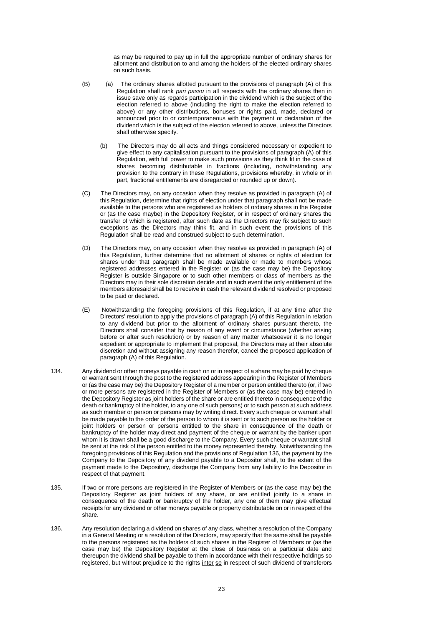as may be required to pay up in full the appropriate number of ordinary shares for allotment and distribution to and among the holders of the elected ordinary shares on such basis.

- (B) (a) The ordinary shares allotted pursuant to the provisions of paragraph (A) of this Regulation shall rank *pari passu* in all respects with the ordinary shares then in issue save only as regards participation in the dividend which is the subject of the election referred to above (including the right to make the election referred to above) or any other distributions, bonuses or rights paid, made, declared or announced prior to or contemporaneous with the payment or declaration of the dividend which is the subject of the election referred to above, unless the Directors shall otherwise specify.
	- (b) The Directors may do all acts and things considered necessary or expedient to give effect to any capitalisation pursuant to the provisions of paragraph (A) of this Regulation, with full power to make such provisions as they think fit in the case of shares becoming distributable in fractions (including, notwithstanding any provision to the contrary in these Regulations, provisions whereby, in whole or in part, fractional entitlements are disregarded or rounded up or down).
- (C) The Directors may, on any occasion when they resolve as provided in paragraph (A) of this Regulation, determine that rights of election under that paragraph shall not be made available to the persons who are registered as holders of ordinary shares in the Register or (as the case maybe) in the Depository Register, or in respect of ordinary shares the transfer of which is registered, after such date as the Directors may fix subject to such exceptions as the Directors may think fit, and in such event the provisions of this Regulation shall be read and construed subject to such determination.
- (D) The Directors may, on any occasion when they resolve as provided in paragraph (A) of this Regulation, further determine that no allotment of shares or rights of election for shares under that paragraph shall be made available or made to members whose registered addresses entered in the Register or (as the case may be) the Depository Register is outside Singapore or to such other members or class of members as the Directors may in their sole discretion decide and in such event the only entitlement of the members aforesaid shall be to receive in cash the relevant dividend resolved or proposed to be paid or declared.
- (E) Notwithstanding the foregoing provisions of this Regulation, if at any time after the Directors' resolution to apply the provisions of paragraph (A) of this Regulation in relation to any dividend but prior to the allotment of ordinary shares pursuant thereto, the Directors shall consider that by reason of any event or circumstance (whether arising before or after such resolution) or by reason of any matter whatsoever it is no longer expedient or appropriate to implement that proposal, the Directors may at their absolute discretion and without assigning any reason therefor, cancel the proposed application of paragraph (A) of this Regulation.
- 134. Any dividend or other moneys payable in cash on or in respect of a share may be paid by cheque or warrant sent through the post to the registered address appearing in the Register of Members or (as the case may be) the Depository Register of a member or person entitled thereto (or, if two or more persons are registered in the Register of Members or (as the case may be) entered in the Depository Register as joint holders of the share or are entitled thereto in consequence of the death or bankruptcy of the holder, to any one of such persons) or to such person at such address as such member or person or persons may by writing direct. Every such cheque or warrant shall be made payable to the order of the person to whom it is sent or to such person as the holder or joint holders or person or persons entitled to the share in consequence of the death or bankruptcy of the holder may direct and payment of the cheque or warrant by the banker upon whom it is drawn shall be a good discharge to the Company. Every such cheque or warrant shall be sent at the risk of the person entitled to the money represented thereby. Notwithstanding the foregoing provisions of this Regulation and the provisions of Regulation 136, the payment by the Company to the Depository of any dividend payable to a Depositor shall, to the extent of the payment made to the Depository, discharge the Company from any liability to the Depositor in respect of that payment.
- 135. If two or more persons are registered in the Register of Members or (as the case may be) the Depository Register as joint holders of any share, or are entitled jointly to a share in consequence of the death or bankruptcy of the holder, any one of them may give effectual receipts for any dividend or other moneys payable or property distributable on or in respect of the share.
- 136. Any resolution declaring a dividend on shares of any class, whether a resolution of the Company in a General Meeting or a resolution of the Directors, may specify that the same shall be payable to the persons registered as the holders of such shares in the Register of Members or (as the case may be) the Depository Register at the close of business on a particular date and thereupon the dividend shall be payable to them in accordance with their respective holdings so registered, but without prejudice to the rights inter se in respect of such dividend of transferors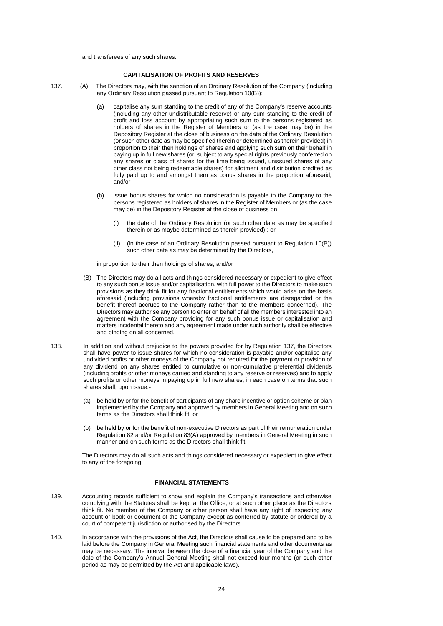and transferees of any such shares.

#### **CAPITALISATION OF PROFITS AND RESERVES**

137. (A) The Directors may, with the sanction of an Ordinary Resolution of the Company (including any Ordinary Resolution passed pursuant to Regulation 10(B)):

- (a) capitalise any sum standing to the credit of any of the Company's reserve accounts (including any other undistributable reserve) or any sum standing to the credit of profit and loss account by appropriating such sum to the persons registered as holders of shares in the Register of Members or (as the case may be) in the Depository Register at the close of business on the date of the Ordinary Resolution (or such other date as may be specified therein or determined as therein provided) in proportion to their then holdings of shares and applying such sum on their behalf in paying up in full new shares (or, subject to any special rights previously conferred on any shares or class of shares for the time being issued, unissued shares of any other class not being redeemable shares) for allotment and distribution credited as fully paid up to and amongst them as bonus shares in the proportion aforesaid; and/or
- (b) issue bonus shares for which no consideration is payable to the Company to the persons registered as holders of shares in the Register of Members or (as the case may be) in the Depository Register at the close of business on:
	- (i) the date of the Ordinary Resolution (or such other date as may be specified therein or as maybe determined as therein provided) ; or
	- (ii) (in the case of an Ordinary Resolution passed pursuant to Regulation 10(B)) such other date as may be determined by the Directors,

in proportion to their then holdings of shares; and/or

- (B) The Directors may do all acts and things considered necessary or expedient to give effect to any such bonus issue and/or capitalisation, with full power to the Directors to make such provisions as they think fit for any fractional entitlements which would arise on the basis aforesaid (including provisions whereby fractional entitlements are disregarded or the benefit thereof accrues to the Company rather than to the members concerned). The Directors may authorise any person to enter on behalf of all the members interested into an agreement with the Company providing for any such bonus issue or capitalisation and matters incidental thereto and any agreement made under such authority shall be effective and binding on all concerned.
- 138. In addition and without prejudice to the powers provided for by Regulation 137, the Directors shall have power to issue shares for which no consideration is payable and/or capitalise any undivided profits or other moneys of the Company not required for the payment or provision of any dividend on any shares entitled to cumulative or non-cumulative preferential dividends (including profits or other moneys carried and standing to any reserve or reserves) and to apply such profits or other moneys in paying up in full new shares, in each case on terms that such shares shall, upon issue:-
	- (a) be held by or for the benefit of participants of any share incentive or option scheme or plan implemented by the Company and approved by members in General Meeting and on such terms as the Directors shall think fit; or
	- (b) be held by or for the benefit of non-executive Directors as part of their remuneration under Regulation 82 and/or Regulation 83(A) approved by members in General Meeting in such manner and on such terms as the Directors shall think fit.

The Directors may do all such acts and things considered necessary or expedient to give effect to any of the foregoing.

## **FINANCIAL STATEMENTS**

- 139. Accounting records sufficient to show and explain the Company's transactions and otherwise complying with the Statutes shall be kept at the Office, or at such other place as the Directors think fit. No member of the Company or other person shall have any right of inspecting any account or book or document of the Company except as conferred by statute or ordered by a court of competent jurisdiction or authorised by the Directors.
- 140. In accordance with the provisions of the Act, the Directors shall cause to be prepared and to be laid before the Company in General Meeting such financial statements and other documents as may be necessary. The interval between the close of a financial year of the Company and the date of the Company's Annual General Meeting shall not exceed four months (or such other period as may be permitted by the Act and applicable laws).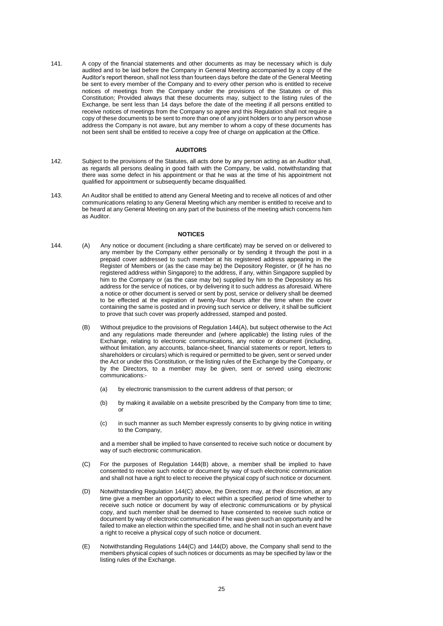141. A copy of the financial statements and other documents as may be necessary which is duly audited and to be laid before the Company in General Meeting accompanied by a copy of the Auditor's report thereon, shall not less than fourteen days before the date of the General Meeting be sent to every member of the Company and to every other person who is entitled to receive notices of meetings from the Company under the provisions of the Statutes or of this Constitution; Provided always that these documents may, subject to the listing rules of the Exchange, be sent less than 14 days before the date of the meeting if all persons entitled to receive notices of meetings from the Company so agree and this Regulation shall not require a copy of these documents to be sent to more than one of any joint holders or to any person whose address the Company is not aware, but any member to whom a copy of these documents has not been sent shall be entitled to receive a copy free of charge on application at the Office.

#### **AUDITORS**

- 142. Subject to the provisions of the Statutes, all acts done by any person acting as an Auditor shall, as regards all persons dealing in good faith with the Company, be valid, notwithstanding that there was some defect in his appointment or that he was at the time of his appointment not qualified for appointment or subsequently became disqualified.
- 143. An Auditor shall be entitled to attend any General Meeting and to receive all notices of and other communications relating to any General Meeting which any member is entitled to receive and to be heard at any General Meeting on any part of the business of the meeting which concerns him as Auditor.

#### **NOTICES**

- 144. (A) Any notice or document (including a share certificate) may be served on or delivered to any member by the Company either personally or by sending it through the post in a prepaid cover addressed to such member at his registered address appearing in the Register of Members or (as the case may be) the Depository Register, or (if he has no registered address within Singapore) to the address, if any, within Singapore supplied by him to the Company or (as the case may be) supplied by him to the Depository as his address for the service of notices, or by delivering it to such address as aforesaid. Where a notice or other document is served or sent by post, service or delivery shall be deemed to be effected at the expiration of twenty-four hours after the time when the cover containing the same is posted and in proving such service or delivery, it shall be sufficient to prove that such cover was properly addressed, stamped and posted.
	- (B) Without prejudice to the provisions of Regulation 144(A), but subject otherwise to the Act and any regulations made thereunder and (where applicable) the listing rules of the Exchange, relating to electronic communications, any notice or document (including, without limitation, any accounts, balance-sheet, financial statements or report, letters to shareholders or circulars) which is required or permitted to be given, sent or served under the Act or under this Constitution, or the listing rules of the Exchange by the Company, or by the Directors, to a member may be given, sent or served using electronic communications:-
		- (a) by electronic transmission to the current address of that person; or
		- (b) by making it available on a website prescribed by the Company from time to time; or
		- (c) in such manner as such Member expressly consents to by giving notice in writing to the Company,

and a member shall be implied to have consented to receive such notice or document by way of such electronic communication.

- (C) For the purposes of Regulation 144(B) above, a member shall be implied to have consented to receive such notice or document by way of such electronic communication and shall not have a right to elect to receive the physical copy of such notice or document.
- (D) Notwithstanding Regulation 144(C) above, the Directors may, at their discretion, at any time give a member an opportunity to elect within a specified period of time whether to receive such notice or document by way of electronic communications or by physical copy, and such member shall be deemed to have consented to receive such notice or document by way of electronic communication if he was given such an opportunity and he failed to make an election within the specified time, and he shall not in such an event have a right to receive a physical copy of such notice or document.
- (E) Notwithstanding Regulations 144(C) and 144(D) above, the Company shall send to the members physical copies of such notices or documents as may be specified by law or the listing rules of the Exchange.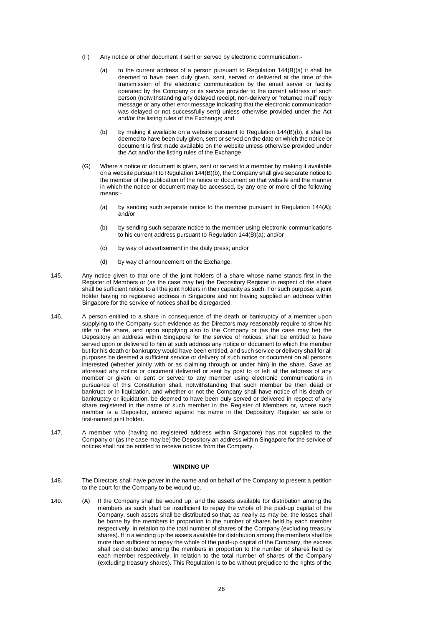- (F) Any notice or other document if sent or served by electronic communication:-
	- (a) to the current address of a person pursuant to Regulation 144(B)(a) it shall be deemed to have been duly given, sent, served or delivered at the time of the transmission of the electronic communication by the email server or facility operated by the Company or its service provider to the current address of such person (notwithstanding any delayed receipt, non-delivery or "returned mail" reply message or any other error message indicating that the electronic communication was delayed or not successfully sent) unless otherwise provided under the Act and/or the listing rules of the Exchange; and
	- (b) by making it available on a website pursuant to Regulation 144(B)(b), it shall be deemed to have been duly given, sent or served on the date on which the notice or document is first made available on the website unless otherwise provided under the Act and/or the listing rules of the Exchange.
- (G) Where a notice or document is given, sent or served to a member by making it available on a website pursuant to Regulation 144(B)(b), the Company shall give separate notice to the member of the publication of the notice or document on that website and the manner in which the notice or document may be accessed, by any one or more of the following means:-
	- (a) by sending such separate notice to the member pursuant to Regulation 144(A); and/or
	- (b) by sending such separate notice to the member using electronic communications to his current address pursuant to Regulation 144(B)(a); and/or
	- (c) by way of advertisement in the daily press; and/or
	- (d) by way of announcement on the Exchange.
- 145. Any notice given to that one of the joint holders of a share whose name stands first in the Register of Members or (as the case may be) the Depository Register in respect of the share shall be sufficient notice to all the joint holders in their capacity as such. For such purpose, a joint holder having no registered address in Singapore and not having supplied an address within Singapore for the service of notices shall be disregarded.
- 146. A person entitled to a share in consequence of the death or bankruptcy of a member upon supplying to the Company such evidence as the Directors may reasonably require to show his title to the share, and upon supplying also to the Company or (as the case may be) the Depository an address within Singapore for the service of notices, shall be entitled to have served upon or delivered to him at such address any notice or document to which the member but for his death or bankruptcy would have been entitled, and such service or delivery shall for all purposes be deemed a sufficient service or delivery of such notice or document on all persons interested (whether jointly with or as claiming through or under him) in the share. Save as aforesaid any notice or document delivered or sent by post to or left at the address of any member or given, or sent or served to any member using electronic communications in pursuance of this Constitution shall, notwithstanding that such member be then dead or bankrupt or in liquidation, and whether or not the Company shall have notice of his death or bankruptcy or liquidation, be deemed to have been duly served or delivered in respect of any share registered in the name of such member in the Register of Members or, where such member is a Depositor, entered against his name in the Depository Register as sole or first-named joint holder.
- 147. A member who (having no registered address within Singapore) has not supplied to the Company or (as the case may be) the Depository an address within Singapore for the service of notices shall not be entitled to receive notices from the Company.

#### **WINDING UP**

- 148. The Directors shall have power in the name and on behalf of the Company to present a petition to the court for the Company to be wound up.
- 149. (A) If the Company shall be wound up, and the assets available for distribution among the members as such shall be insufficient to repay the whole of the paid-up capital of the Company, such assets shall be distributed so that, as nearly as may be, the losses shall be borne by the members in proportion to the number of shares held by each member respectively, in relation to the total number of shares of the Company (excluding treasury shares). If in a winding up the assets available for distribution among the members shall be more than sufficient to repay the whole of the paid-up capital of the Company, the excess shall be distributed among the members in proportion to the number of shares held by each member respectively, in relation to the total number of shares of the Company (excluding treasury shares). This Regulation is to be without prejudice to the rights of the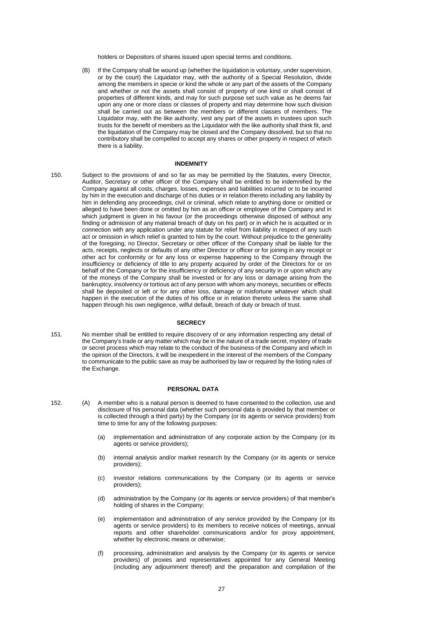holders or Depositors of shares issued upon special terms and conditions.

(B) If the Company shall be wound up (whether the liquidation is voluntary, under supervision, or by the court) the Liquidator may, with the authority of a Special Resolution, divide among the members in specie or kind the whole or any part of the assets of the Company and whether or not the assets shall consist of property of one kind or shall consist of properties of different kinds, and may for such purpose set such value as he deems fair upon any one or more class or classes of property and may determine how such division shall be carried out as between the members or different classes of members. The Liquidator may, with the like authority, vest any part of the assets in trustees upon such trusts for the benefit of members as the Liquidator with the like authority shall think fit, and the liquidation of the Company may be closed and the Company dissolved, but so that no contributory shall be compelled to accept any shares or other property in respect of which there is a liability.

### **INDEMNITY**

150. Subject to the provisions of and so far as may be permitted by the Statutes, every Director, Auditor, Secretary or other officer of the Company shall be entitled to be indemnified by the Company against all costs, charges, losses, expenses and liabilities incurred or to be incurred by him in the execution and discharge of his duties or in relation thereto including any liability by him in defending any proceedings, civil or criminal, which relate to anything done or omitted or alleged to have been done or omitted by him as an officer or employee of the Company and in which judgment is given in his favour (or the proceedings otherwise disposed of without any finding or admission of any material breach of duty on his part) or in which he is acquitted or in connection with any application under any statute for relief from liability in respect of any such act or omission in which relief is granted to him by the court. Without prejudice to the generality of the foregoing, no Director, Secretary or other officer of the Company shall be liable for the acts, receipts, neglects or defaults of any other Director or officer or for joining in any receipt or other act for conformity or for any loss or expense happening to the Company through the insufficiency or deficiency of title to any property acquired by order of the Directors for or on behalf of the Company or for the insufficiency or deficiency of any security in or upon which any of the moneys of the Company shall be invested or for any loss or damage arising from the bankruptcy, insolvency or tortious act of any person with whom any moneys, securities or effects shall be deposited or left or for any other loss, damage or misfortune whatever which shall happen in the execution of the duties of his office or in relation thereto unless the same shall happen through his own negligence, wilful default, breach of duty or breach of trust.

#### **SECRECY**

151. No member shall be entitled to require discovery of or any information respecting any detail of the Company's trade or any matter which may be in the nature of a trade secret, mystery of trade or secret process which may relate to the conduct of the business of the Company and which in the opinion of the Directors, it will be inexpedient in the interest of the members of the Company to communicate to the public save as may be authorised by law or required by the listing rules of the Exchange.

#### **PERSONAL DATA**

- 152. (A) A member who is a natural person is deemed to have consented to the collection, use and disclosure of his personal data (whether such personal data is provided by that member or is collected through a third party) by the Company (or its agents or service providers) from time to time for any of the following purposes:
	- (a) implementation and administration of any corporate action by the Company (or its agents or service providers);
	- (b) internal analysis and/or market research by the Company (or its agents or service providers);
	- (c) investor relations communications by the Company (or its agents or service providers);
	- (d) administration by the Company (or its agents or service providers) of that member's holding of shares in the Company;
	- (e) implementation and administration of any service provided by the Company (or its agents or service providers) to its members to receive notices of meetings, annual reports and other shareholder communications and/or for proxy appointment, whether by electronic means or otherwise;
	- (f) processing, administration and analysis by the Company (or its agents or service providers) of proxies and representatives appointed for any General Meeting (including any adjournment thereof) and the preparation and compilation of the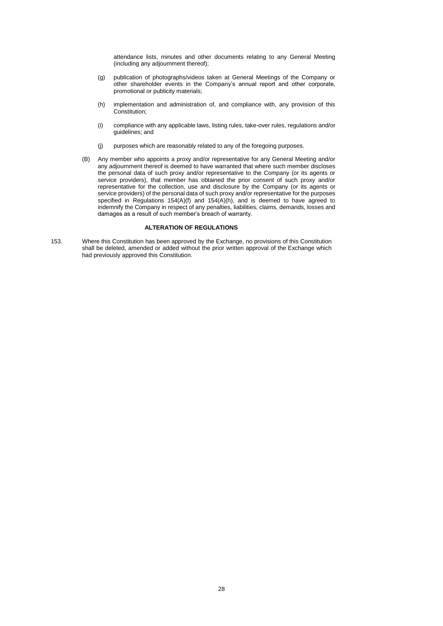attendance lists, minutes and other documents relating to any General Meeting (including any adjournment thereof);

- (g) publication of photographs/videos taken at General Meetings of the Company or other shareholder events in the Company's annual report and other corporate, promotional or publicity materials;
- (h) implementation and administration of, and compliance with, any provision of this Constitution;
- (i) compliance with any applicable laws, listing rules, take-over rules, regulations and/or guidelines; and
- (j) purposes which are reasonably related to any of the foregoing purposes.
- (B) Any member who appoints a proxy and/or representative for any General Meeting and/or any adjournment thereof is deemed to have warranted that where such member discloses the personal data of such proxy and/or representative to the Company (or its agents or service providers), that member has obtained the prior consent of such proxy and/or representative for the collection, use and disclosure by the Company (or its agents or service providers) of the personal data of such proxy and/or representative for the purposes specified in Regulations 154(A)(f) and 154(A)(h), and is deemed to have agreed to indemnify the Company in respect of any penalties, liabilities, claims, demands, losses and damages as a result of such member's breach of warranty.

## **ALTERATION OF REGULATIONS**

153. Where this Constitution has been approved by the Exchange, no provisions of this Constitution shall be deleted, amended or added without the prior written approval of the Exchange which had previously approved this Constitution.